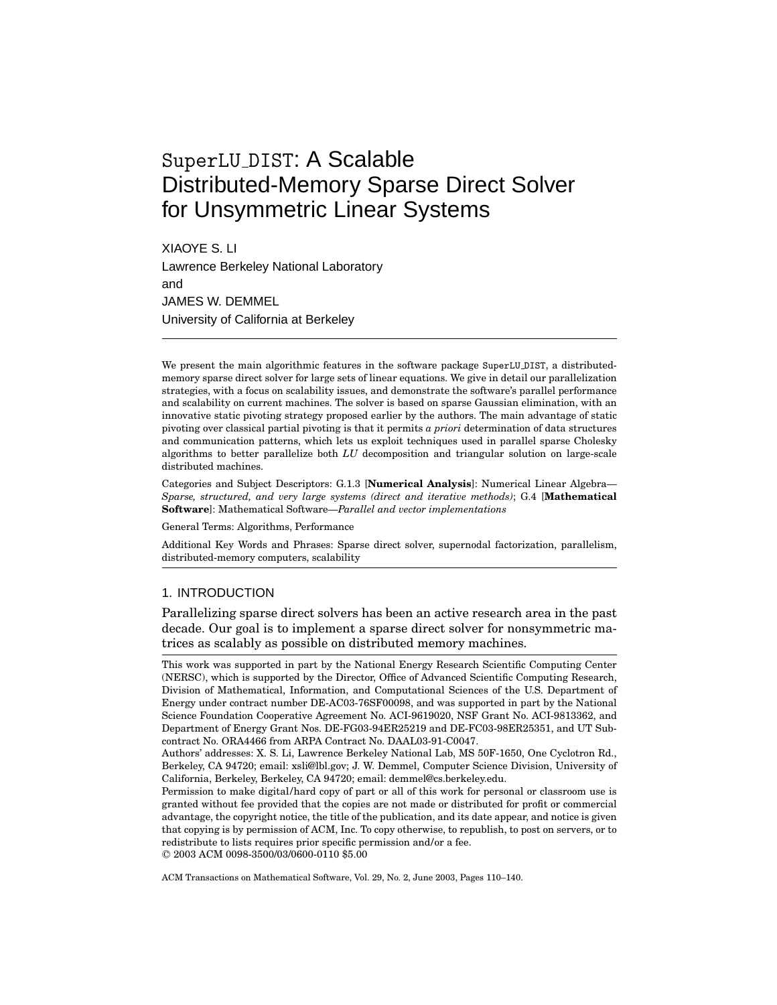# SuperLU DIST: A Scalable Distributed-Memory Sparse Direct Solver for Unsymmetric Linear Systems

XIAOYE S. LI Lawrence Berkeley National Laboratory and JAMES W. DEMMEL University of California at Berkeley

We present the main algorithmic features in the software package SuperLU<sub>-</sub>DIST, a distributedmemory sparse direct solver for large sets of linear equations. We give in detail our parallelization strategies, with a focus on scalability issues, and demonstrate the software's parallel performance and scalability on current machines. The solver is based on sparse Gaussian elimination, with an innovative static pivoting strategy proposed earlier by the authors. The main advantage of static pivoting over classical partial pivoting is that it permits *a priori* determination of data structures and communication patterns, which lets us exploit techniques used in parallel sparse Cholesky algorithms to better parallelize both *LU* decomposition and triangular solution on large-scale distributed machines.

Categories and Subject Descriptors: G.1.3 [**Numerical Analysis**]: Numerical Linear Algebra— *Sparse, structured, and very large systems (direct and iterative methods)*; G.4 [**Mathematical Software**]: Mathematical Software—*Parallel and vector implementations*

General Terms: Algorithms, Performance

Additional Key Words and Phrases: Sparse direct solver, supernodal factorization, parallelism, distributed-memory computers, scalability

# 1. INTRODUCTION

Parallelizing sparse direct solvers has been an active research area in the past decade. Our goal is to implement a sparse direct solver for nonsymmetric matrices as scalably as possible on distributed memory machines.

This work was supported in part by the National Energy Research Scientific Computing Center (NERSC), which is supported by the Director, Office of Advanced Scientific Computing Research, Division of Mathematical, Information, and Computational Sciences of the U.S. Department of Energy under contract number DE-AC03-76SF00098, and was supported in part by the National Science Foundation Cooperative Agreement No. ACI-9619020, NSF Grant No. ACI-9813362, and Department of Energy Grant Nos. DE-FG03-94ER25219 and DE-FC03-98ER25351, and UT Subcontract No. ORA4466 from ARPA Contract No. DAAL03-91-C0047.

Permission to make digital/hard copy of part or all of this work for personal or classroom use is granted without fee provided that the copies are not made or distributed for profit or commercial advantage, the copyright notice, the title of the publication, and its date appear, and notice is given that copying is by permission of ACM, Inc. To copy otherwise, to republish, to post on servers, or to redistribute to lists requires prior specific permission and/or a fee. °<sup>C</sup> 2003 ACM 0098-3500/03/0600-0110 \$5.00

Authors' addresses: X. S. Li, Lawrence Berkeley National Lab, MS 50F-1650, One Cyclotron Rd., Berkeley, CA 94720; email: xsli@lbl.gov; J. W. Demmel, Computer Science Division, University of California, Berkeley, Berkeley, CA 94720; email: demmel@cs.berkeley.edu.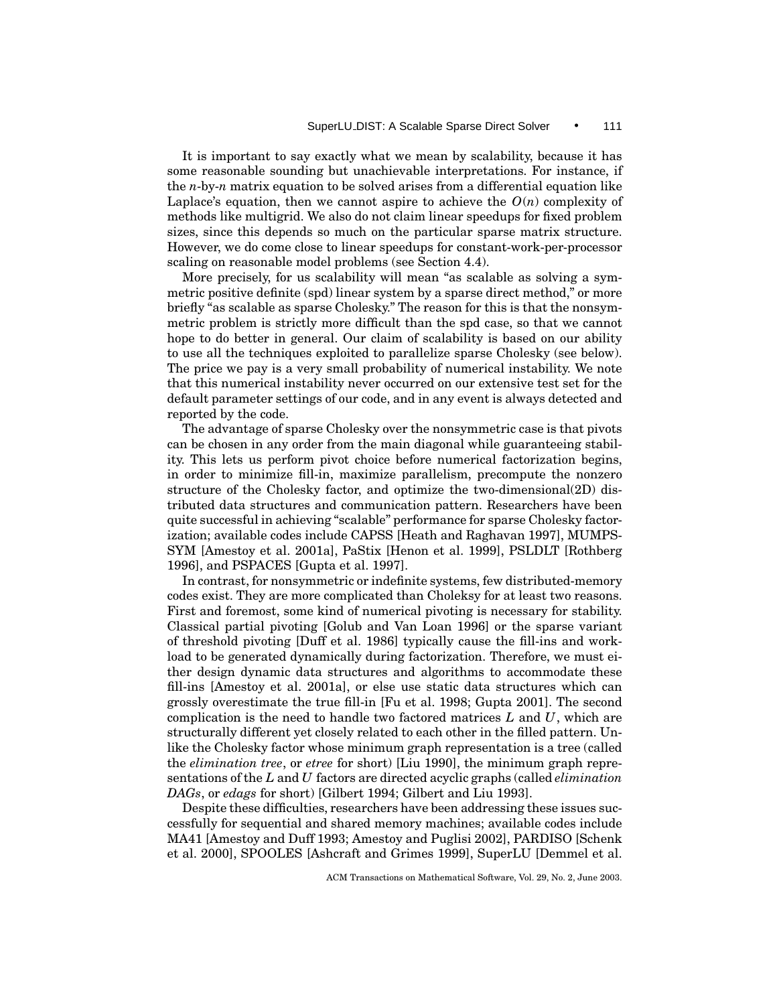It is important to say exactly what we mean by scalability, because it has some reasonable sounding but unachievable interpretations. For instance, if the *n*-by-*n* matrix equation to be solved arises from a differential equation like Laplace's equation, then we cannot aspire to achieve the  $O(n)$  complexity of methods like multigrid. We also do not claim linear speedups for fixed problem sizes, since this depends so much on the particular sparse matrix structure. However, we do come close to linear speedups for constant-work-per-processor scaling on reasonable model problems (see Section 4.4).

More precisely, for us scalability will mean "as scalable as solving a symmetric positive definite (spd) linear system by a sparse direct method," or more briefly "as scalable as sparse Cholesky." The reason for this is that the nonsymmetric problem is strictly more difficult than the spd case, so that we cannot hope to do better in general. Our claim of scalability is based on our ability to use all the techniques exploited to parallelize sparse Cholesky (see below). The price we pay is a very small probability of numerical instability. We note that this numerical instability never occurred on our extensive test set for the default parameter settings of our code, and in any event is always detected and reported by the code.

The advantage of sparse Cholesky over the nonsymmetric case is that pivots can be chosen in any order from the main diagonal while guaranteeing stability. This lets us perform pivot choice before numerical factorization begins, in order to minimize fill-in, maximize parallelism, precompute the nonzero structure of the Cholesky factor, and optimize the two-dimensional(2D) distributed data structures and communication pattern. Researchers have been quite successful in achieving "scalable" performance for sparse Cholesky factorization; available codes include CAPSS [Heath and Raghavan 1997], MUMPS-SYM [Amestoy et al. 2001a], PaStix [Henon et al. 1999], PSLDLT [Rothberg 1996], and PSPACES [Gupta et al. 1997].

In contrast, for nonsymmetric or indefinite systems, few distributed-memory codes exist. They are more complicated than Choleksy for at least two reasons. First and foremost, some kind of numerical pivoting is necessary for stability. Classical partial pivoting [Golub and Van Loan 1996] or the sparse variant of threshold pivoting [Duff et al. 1986] typically cause the fill-ins and workload to be generated dynamically during factorization. Therefore, we must either design dynamic data structures and algorithms to accommodate these fill-ins [Amestoy et al. 2001a], or else use static data structures which can grossly overestimate the true fill-in [Fu et al. 1998; Gupta 2001]. The second complication is the need to handle two factored matrices *L* and *U*, which are structurally different yet closely related to each other in the filled pattern. Unlike the Cholesky factor whose minimum graph representation is a tree (called the *elimination tree*, or *etree* for short) [Liu 1990], the minimum graph representations of the *L* and *U* factors are directed acyclic graphs (called *elimination DAGs*, or *edags* for short) [Gilbert 1994; Gilbert and Liu 1993].

Despite these difficulties, researchers have been addressing these issues successfully for sequential and shared memory machines; available codes include MA41 [Amestoy and Duff 1993; Amestoy and Puglisi 2002], PARDISO [Schenk et al. 2000], SPOOLES [Ashcraft and Grimes 1999], SuperLU [Demmel et al.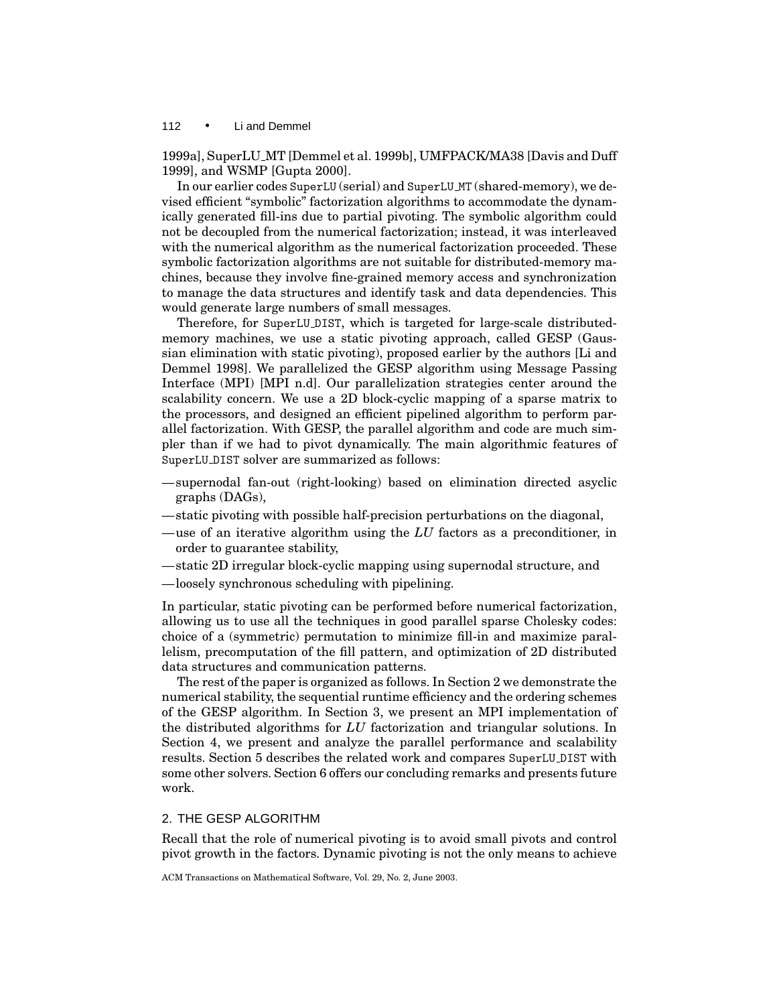1999a], SuperLU MT [Demmel et al. 1999b], UMFPACK/MA38 [Davis and Duff 1999], and WSMP [Gupta 2000].

In our earlier codes SuperLU (serial) and SuperLU MT (shared-memory), we devised efficient "symbolic" factorization algorithms to accommodate the dynamically generated fill-ins due to partial pivoting. The symbolic algorithm could not be decoupled from the numerical factorization; instead, it was interleaved with the numerical algorithm as the numerical factorization proceeded. These symbolic factorization algorithms are not suitable for distributed-memory machines, because they involve fine-grained memory access and synchronization to manage the data structures and identify task and data dependencies. This would generate large numbers of small messages.

Therefore, for SuperLU DIST, which is targeted for large-scale distributedmemory machines, we use a static pivoting approach, called GESP (Gaussian elimination with static pivoting), proposed earlier by the authors [Li and Demmel 1998]. We parallelized the GESP algorithm using Message Passing Interface (MPI) [MPI n.d]. Our parallelization strategies center around the scalability concern. We use a 2D block-cyclic mapping of a sparse matrix to the processors, and designed an efficient pipelined algorithm to perform parallel factorization. With GESP, the parallel algorithm and code are much simpler than if we had to pivot dynamically. The main algorithmic features of SuperLU DIST solver are summarized as follows:

- —supernodal fan-out (right-looking) based on elimination directed asyclic graphs (DAGs),
- —static pivoting with possible half-precision perturbations on the diagonal,
- —use of an iterative algorithm using the *LU* factors as a preconditioner, in order to guarantee stability,
- —static 2D irregular block-cyclic mapping using supernodal structure, and
- —loosely synchronous scheduling with pipelining.

In particular, static pivoting can be performed before numerical factorization, allowing us to use all the techniques in good parallel sparse Cholesky codes: choice of a (symmetric) permutation to minimize fill-in and maximize parallelism, precomputation of the fill pattern, and optimization of 2D distributed data structures and communication patterns.

The rest of the paper is organized as follows. In Section 2 we demonstrate the numerical stability, the sequential runtime efficiency and the ordering schemes of the GESP algorithm. In Section 3, we present an MPI implementation of the distributed algorithms for *LU* factorization and triangular solutions. In Section 4, we present and analyze the parallel performance and scalability results. Section 5 describes the related work and compares SuperLU DIST with some other solvers. Section 6 offers our concluding remarks and presents future work.

# 2. THE GESP ALGORITHM

Recall that the role of numerical pivoting is to avoid small pivots and control pivot growth in the factors. Dynamic pivoting is not the only means to achieve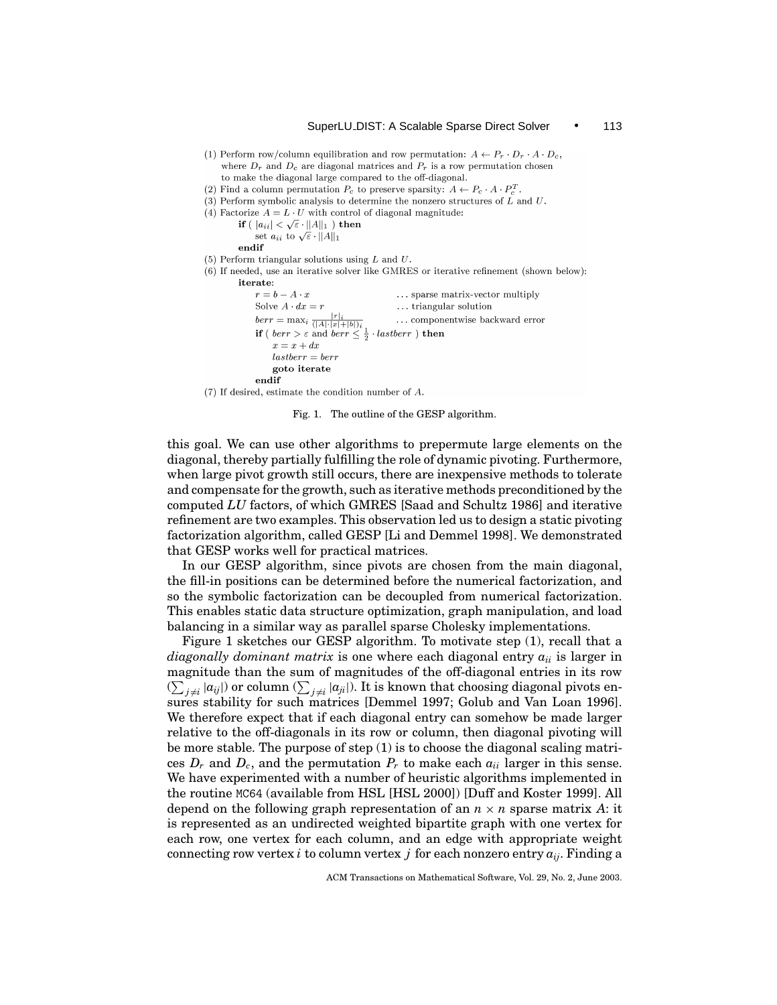- (1) Perform row/column equilibration and row permutation:  $A \leftarrow P_r \cdot D_r \cdot A \cdot D_c$ , where  $D_r$  and  $D_c$  are diagonal matrices and  $P_r$  is a row permutation chosen to make the diagonal large compared to the off-diagonal.
- (2) Find a column permutation  $P_c$  to preserve sparsity:  $A \leftarrow P_c \cdot A \cdot P_c^T$ .
- (3) Perform symbolic analysis to determine the nonzero structures of  $L$  and  $U$ .
- (4) Factorize  $A = L \cdot U$  with control of diagonal magnitude:

if (  $|a_{ii}| < \sqrt{\varepsilon} \cdot ||A||_1$  ) then set  $a_{ii}$  to  $\sqrt{\varepsilon} \cdot ||A||_1$ 

endif

- (5) Perform triangular solutions using  $L$  and  $U$ .
- (6) If needed, use an iterative solver like GMRES or iterative refinement (shown below): iterate:

```
r = b - A \cdot x... sparse matrix-vector multiply
Solve A\cdot dx=r... triangular solution
berr = max<sub>i</sub> \frac{|r|_i}{(|A|\cdot|x|+|b|)_i} ... component if ( berr > \varepsilon and berr \leq \frac{1}{2} · lastberr ) then
                                              \ldots componentwise backward error
      x = x + dxlastberr = berrgoto iterate
endif
```
 $(7)$  If desired, estimate the condition number of A.

Fig. 1. The outline of the GESP algorithm.

this goal. We can use other algorithms to prepermute large elements on the diagonal, thereby partially fulfilling the role of dynamic pivoting. Furthermore, when large pivot growth still occurs, there are inexpensive methods to tolerate and compensate for the growth, such as iterative methods preconditioned by the computed *LU* factors, of which GMRES [Saad and Schultz 1986] and iterative refinement are two examples. This observation led us to design a static pivoting factorization algorithm, called GESP [Li and Demmel 1998]. We demonstrated that GESP works well for practical matrices.

In our GESP algorithm, since pivots are chosen from the main diagonal, the fill-in positions can be determined before the numerical factorization, and so the symbolic factorization can be decoupled from numerical factorization. This enables static data structure optimization, graph manipulation, and load balancing in a similar way as parallel sparse Cholesky implementations.

Figure 1 sketches our GESP algorithm. To motivate step (1), recall that a *diagonally dominant matrix* is one where each diagonal entry *aii* is larger in magnitude than the sum of magnitudes of the off-diagonal entries in its row  $(\sum_{j\neq i}|a_{ij}|)$  or column  $(\sum_{j\neq i}|a_{ji}|)$ . It is known that choosing diagonal pivots ensures stability for such matrices [Demmel 1997; Golub and Van Loan 1996]. We therefore expect that if each diagonal entry can somehow be made larger relative to the off-diagonals in its row or column, then diagonal pivoting will be more stable. The purpose of step (1) is to choose the diagonal scaling matrices  $D_r$  and  $D_c$ , and the permutation  $P_r$  to make each  $a_{ii}$  larger in this sense. We have experimented with a number of heuristic algorithms implemented in the routine MC64 (available from HSL [HSL 2000]) [Duff and Koster 1999]. All depend on the following graph representation of an  $n \times n$  sparse matrix A: it is represented as an undirected weighted bipartite graph with one vertex for each row, one vertex for each column, and an edge with appropriate weight connecting row vertex *i* to column vertex *j* for each nonzero entry  $a_{ii}$ . Finding a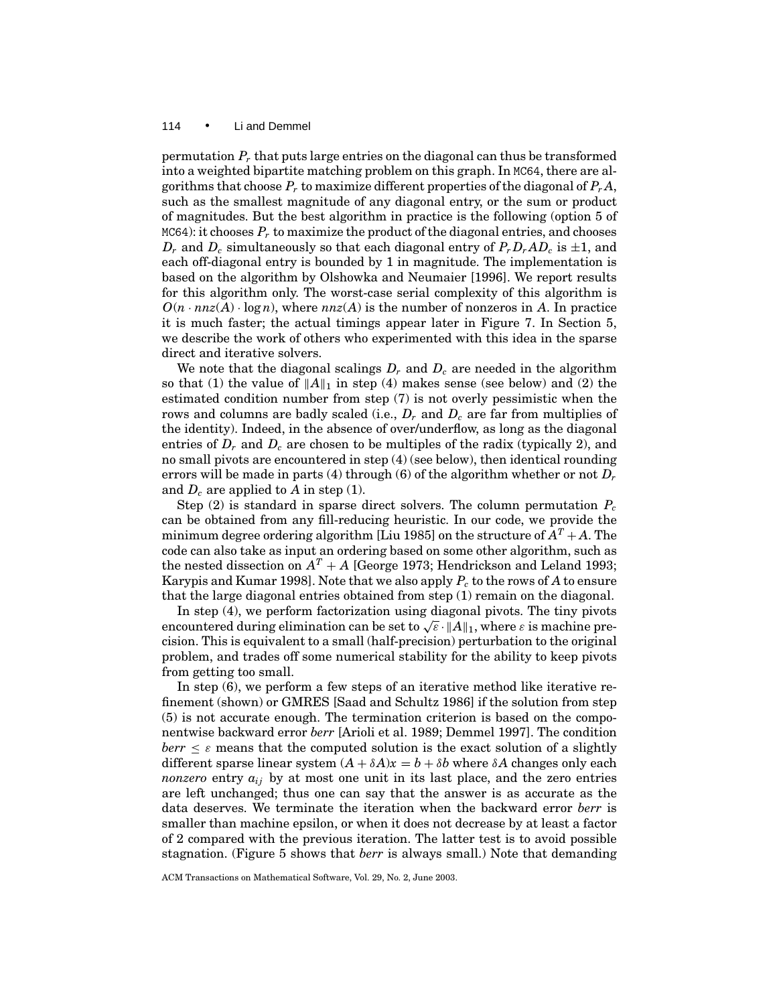permutation *Pr* that puts large entries on the diagonal can thus be transformed into a weighted bipartite matching problem on this graph. In MC64, there are algorithms that choose  $P_r$  to maximize different properties of the diagonal of  $P_r A$ , such as the smallest magnitude of any diagonal entry, or the sum or product of magnitudes. But the best algorithm in practice is the following (option 5 of MC64): it chooses  $P_r$  to maximize the product of the diagonal entries, and chooses  $D_r$  and  $D_c$  simultaneously so that each diagonal entry of  $P_r D_r A D_c$  is  $\pm 1$ , and each off-diagonal entry is bounded by 1 in magnitude. The implementation is based on the algorithm by Olshowka and Neumaier [1996]. We report results for this algorithm only. The worst-case serial complexity of this algorithm is  $O(n \cdot nnz(A) \cdot \log n)$ , where  $nnz(A)$  is the number of nonzeros in A. In practice it is much faster; the actual timings appear later in Figure 7. In Section 5, we describe the work of others who experimented with this idea in the sparse direct and iterative solvers.

We note that the diagonal scalings  $D_r$  and  $D_c$  are needed in the algorithm so that (1) the value of  $||A||_1$  in step (4) makes sense (see below) and (2) the estimated condition number from step (7) is not overly pessimistic when the rows and columns are badly scaled (i.e., *Dr* and *Dc* are far from multiplies of the identity). Indeed, in the absence of over/underflow, as long as the diagonal entries of  $D_r$  and  $D_c$  are chosen to be multiples of the radix (typically 2), and no small pivots are encountered in step (4) (see below), then identical rounding errors will be made in parts (4) through (6) of the algorithm whether or not *Dr* and  $D_c$  are applied to  $A$  in step (1).

Step (2) is standard in sparse direct solvers. The column permutation  $P_c$ can be obtained from any fill-reducing heuristic. In our code, we provide the minimum degree ordering algorithm [Liu 1985] on the structure of  $A<sup>T</sup> + A$ . The code can also take as input an ordering based on some other algorithm, such as the nested dissection on  $A^T + A$  [George 1973; Hendrickson and Leland 1993; Karypis and Kumar 1998]. Note that we also apply  $P_c$  to the rows of A to ensure that the large diagonal entries obtained from step (1) remain on the diagonal.

In step (4), we perform factorization using diagonal pivots. The tiny pivots encountered during elimination can be set to  $\sqrt{\varepsilon} \cdot ||A||_1$ , where  $\varepsilon$  is machine precision. This is equivalent to a small (half-precision) perturbation to the original problem, and trades off some numerical stability for the ability to keep pivots from getting too small.

In step (6), we perform a few steps of an iterative method like iterative refinement (shown) or GMRES [Saad and Schultz 1986] if the solution from step (5) is not accurate enough. The termination criterion is based on the componentwise backward error *berr* [Arioli et al. 1989; Demmel 1997]. The condition  $\textit{berr} \leq \varepsilon$  means that the computed solution is the exact solution of a slightly different sparse linear system  $(A + \delta A)x = b + \delta b$  where  $\delta A$  changes only each *nonzero* entry  $a_{ij}$  by at most one unit in its last place, and the zero entries are left unchanged; thus one can say that the answer is as accurate as the data deserves. We terminate the iteration when the backward error *berr* is smaller than machine epsilon, or when it does not decrease by at least a factor of 2 compared with the previous iteration. The latter test is to avoid possible stagnation. (Figure 5 shows that *berr* is always small.) Note that demanding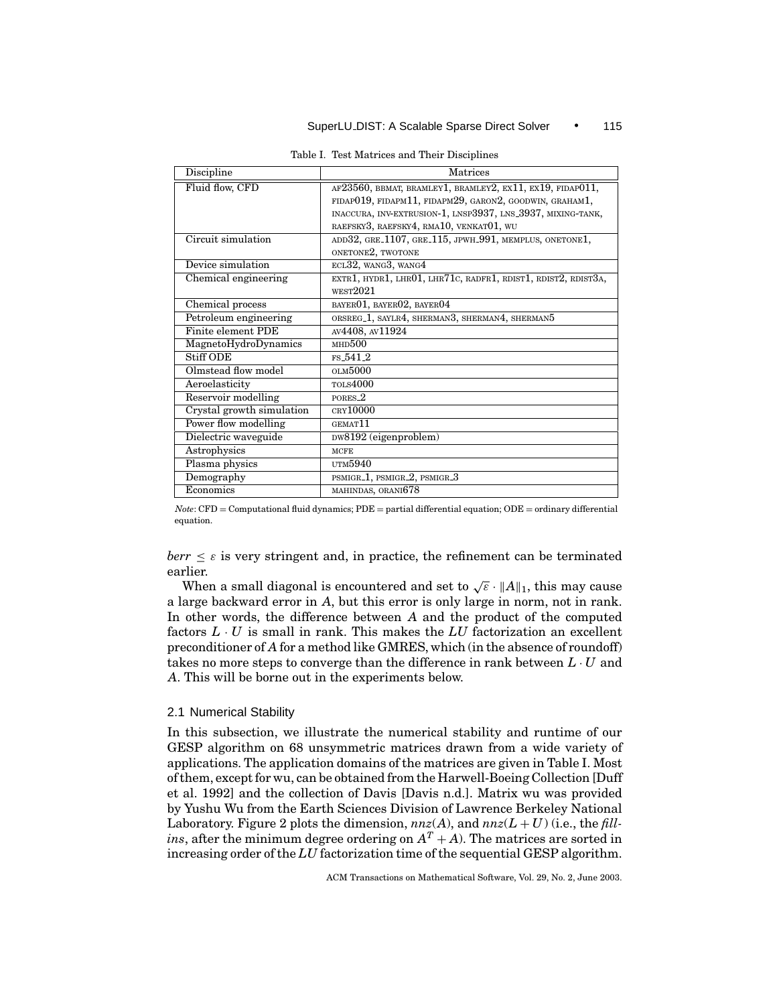# SuperLU\_DIST: A Scalable Sparse Direct Solver • 115

| Discipline                | <b>Matrices</b>                                               |
|---------------------------|---------------------------------------------------------------|
| Fluid flow, CFD           | AF23560, BBMAT, BRAMLEY1, BRAMLEY2, EX11, EX19, FIDAP011,     |
|                           | FIDAPO19, FIDAPM11, FIDAPM29, GARON2, GOODWIN, GRAHAM1,       |
|                           | INACCURA, INV-EXTRUSION-1, LNSP3937, LNS 3937, MIXING-TANK,   |
|                           | RAEFSKY3, RAEFSKY4, RMA10, VENKAT01, WU                       |
| Circuit simulation        | ADD32, GRE 1107, GRE 115, JPWH 991, MEMPLUS, ONETONE1,        |
|                           | ONETONE2, TWOTONE                                             |
| Device simulation         | ECL32, WANG3, WANG4                                           |
| Chemical engineering      | EXTR1, HYDR1, LHR01, LHR71C, RADFR1, RDIST1, RDIST2, RDIST3A, |
|                           | WEST2021                                                      |
| Chemical process          | BAYERO1, BAYERO2, BAYERO4                                     |
| Petroleum engineering     | ORSREG. 1, SAYLR4, SHERMAN3, SHERMAN4, SHERMAN5               |
| Finite element PDE        | AV4408, AV11924                                               |
| MagnetoHydroDynamics      | MHD500                                                        |
| <b>Stiff ODE</b>          | FS 541 2                                                      |
| Olmstead flow model       | отм5000                                                       |
| Aeroelasticity            | TOLS4000                                                      |
| Reservoir modelling       | PORES <sub>2</sub>                                            |
| Crystal growth simulation | CRY10000                                                      |
| Power flow modelling      | GEMAT <sub>11</sub>                                           |
| Dielectric waveguide      | DW8192 (eigenproblem)                                         |
| Astrophysics              | <b>MCFE</b>                                                   |
| Plasma physics            | UTM5940                                                       |
| Demography                | PSMIGR 1, PSMIGR 2, PSMIGR 3                                  |
| Economics                 | MAHINDAS, ORANI678                                            |

Table I. Test Matrices and Their Disciplines

*Note*: CFD = Computational fluid dynamics; PDE = partial differential equation; ODE = ordinary differential equation.

 $\text{berr} \leq \varepsilon$  is very stringent and, in practice, the refinement can be terminated earlier.

When a small diagonal is encountered and set to  $\sqrt{\varepsilon} \cdot ||A||_1$ , this may cause a large backward error in *A*, but this error is only large in norm, not in rank. In other words, the difference between *A* and the product of the computed factors *L* · *U* is small in rank. This makes the *LU* factorization an excellent preconditioner of *A* for a method like GMRES, which (in the absence of roundoff) takes no more steps to converge than the difference in rank between *L* · *U* and *A*. This will be borne out in the experiments below.

# 2.1 Numerical Stability

In this subsection, we illustrate the numerical stability and runtime of our GESP algorithm on 68 unsymmetric matrices drawn from a wide variety of applications. The application domains of the matrices are given in Table I. Most of them, except for wu, can be obtained from the Harwell-Boeing Collection [Duff et al. 1992] and the collection of Davis [Davis n.d.]. Matrix wu was provided by Yushu Wu from the Earth Sciences Division of Lawrence Berkeley National Laboratory. Figure 2 plots the dimension,  $nnz(A)$ , and  $nnz(L+U)$  (i.e., the *fillins*, after the minimum degree ordering on  $A<sup>T</sup> + A$ ). The matrices are sorted in increasing order of the *LU* factorization time of the sequential GESP algorithm.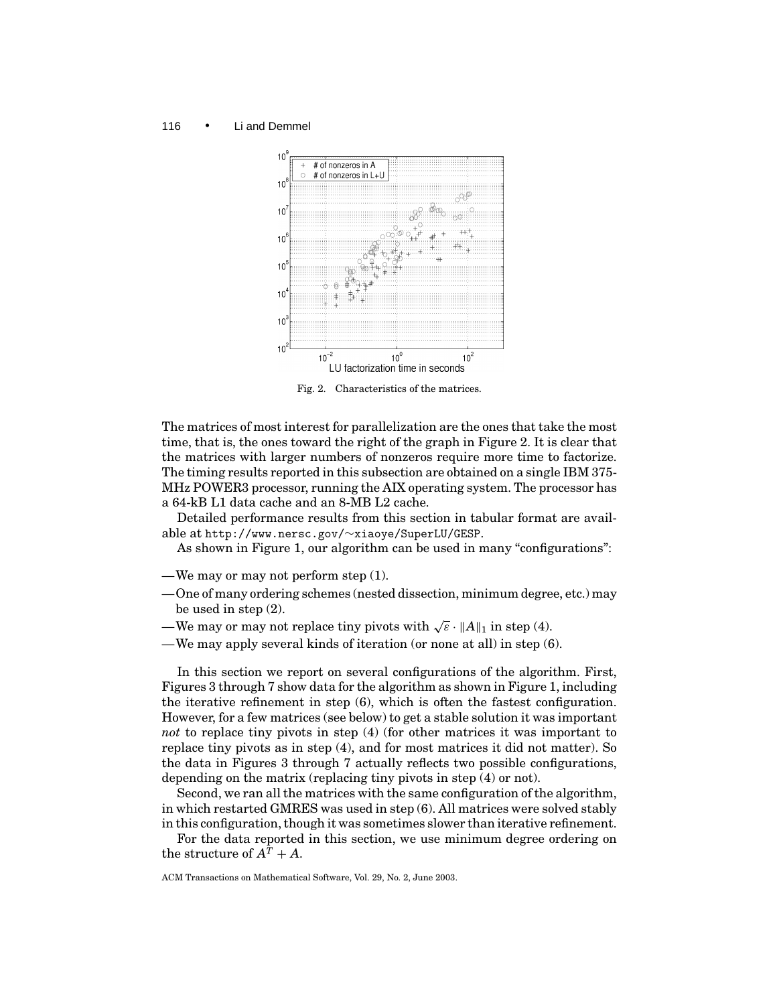116 • Li and Demmel



Fig. 2. Characteristics of the matrices.

The matrices of most interest for parallelization are the ones that take the most time, that is, the ones toward the right of the graph in Figure 2. It is clear that the matrices with larger numbers of nonzeros require more time to factorize. The timing results reported in this subsection are obtained on a single IBM 375- MHz POWER3 processor, running the AIX operating system. The processor has a 64-kB L1 data cache and an 8-MB L2 cache.

Detailed performance results from this section in tabular format are available at http://www.nersc.gov/∼xiaoye/SuperLU/GESP.

As shown in Figure 1, our algorithm can be used in many "configurations":

- —We may or may not perform step (1).
- —One of many ordering schemes (nested dissection, minimum degree, etc.) may be used in step (2).
- —We may or may not replace tiny pivots with  $\sqrt{\varepsilon} \cdot ||A||_1$  in step (4).
- —We may apply several kinds of iteration (or none at all) in step (6).

In this section we report on several configurations of the algorithm. First, Figures 3 through 7 show data for the algorithm as shown in Figure 1, including the iterative refinement in step (6), which is often the fastest configuration. However, for a few matrices (see below) to get a stable solution it was important *not* to replace tiny pivots in step (4) (for other matrices it was important to replace tiny pivots as in step (4), and for most matrices it did not matter). So the data in Figures 3 through 7 actually reflects two possible configurations, depending on the matrix (replacing tiny pivots in step (4) or not).

Second, we ran all the matrices with the same configuration of the algorithm, in which restarted GMRES was used in step (6). All matrices were solved stably in this configuration, though it was sometimes slower than iterative refinement.

For the data reported in this section, we use minimum degree ordering on the structure of  $A^T + A$ .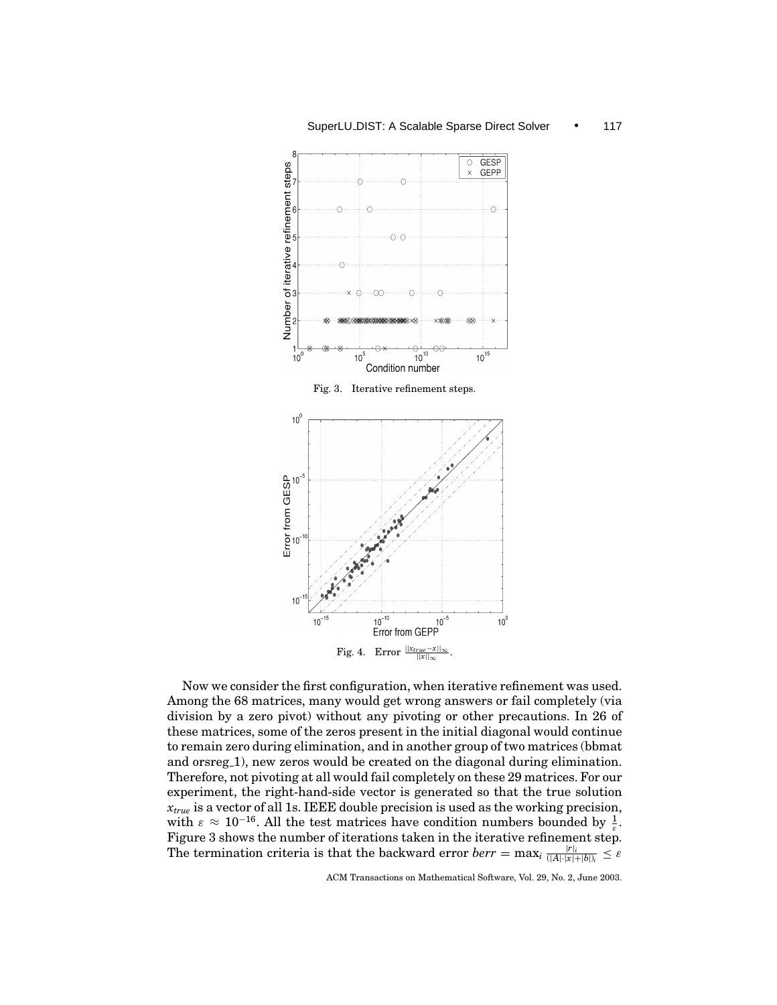

SuperLU\_DIST: A Scalable Sparse Direct Solver • 117

Now we consider the first configuration, when iterative refinement was used. Among the 68 matrices, many would get wrong answers or fail completely (via division by a zero pivot) without any pivoting or other precautions. In 26 of these matrices, some of the zeros present in the initial diagonal would continue to remain zero during elimination, and in another group of two matrices (bbmat and orsreg<sub>-1</sub>), new zeros would be created on the diagonal during elimination. Therefore, not pivoting at all would fail completely on these 29 matrices. For our experiment, the right-hand-side vector is generated so that the true solution *xtrue* is a vector of all 1s. IEEE double precision is used as the working precision, with  $\varepsilon \approx 10^{-16}$ . All the test matrices have condition numbers bounded by  $\frac{1}{\varepsilon}$ . Figure 3 shows the number of iterations taken in the iterative refinement step. The termination criteria is that the backward error  $\text{berr} = \max_i \frac{|r_i|}{(|A|\cdot|x|+|b|)_i} \leq \varepsilon$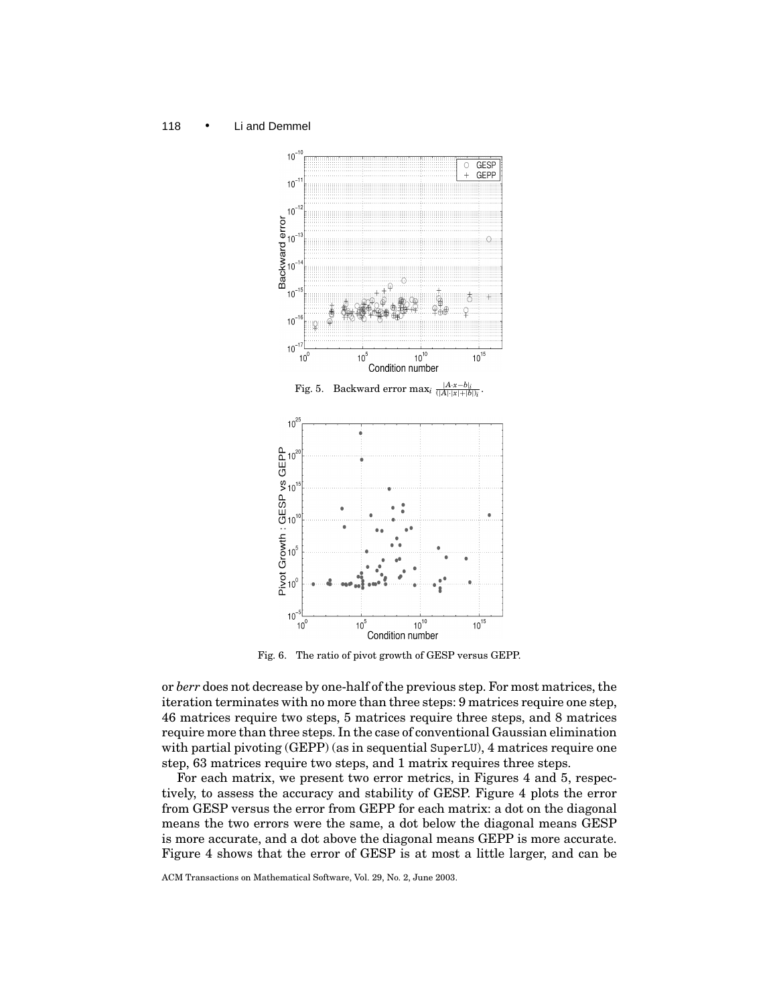

Fig. 6. The ratio of pivot growth of GESP versus GEPP.

or *berr* does not decrease by one-half of the previous step. For most matrices, the iteration terminates with no more than three steps: 9 matrices require one step, 46 matrices require two steps, 5 matrices require three steps, and 8 matrices require more than three steps. In the case of conventional Gaussian elimination with partial pivoting (GEPP) (as in sequential SuperLU), 4 matrices require one step, 63 matrices require two steps, and 1 matrix requires three steps.

For each matrix, we present two error metrics, in Figures 4 and 5, respectively, to assess the accuracy and stability of GESP. Figure 4 plots the error from GESP versus the error from GEPP for each matrix: a dot on the diagonal means the two errors were the same, a dot below the diagonal means GESP is more accurate, and a dot above the diagonal means GEPP is more accurate. Figure 4 shows that the error of GESP is at most a little larger, and can be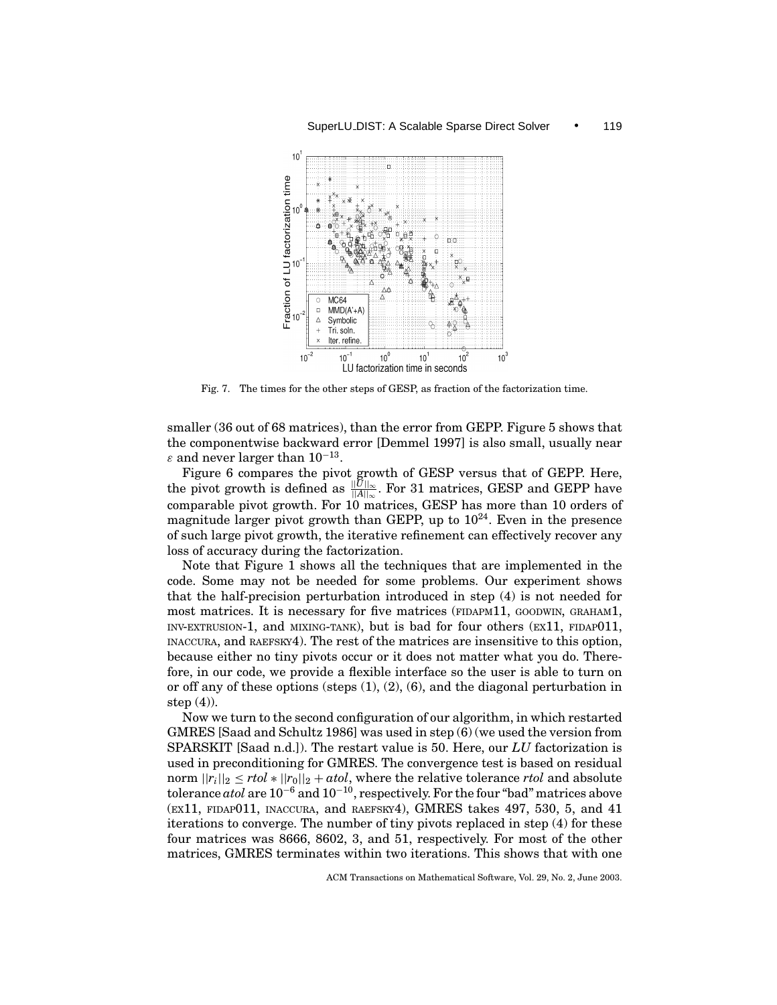

Fig. 7. The times for the other steps of GESP, as fraction of the factorization time.

smaller (36 out of 68 matrices), than the error from GEPP. Figure 5 shows that the componentwise backward error [Demmel 1997] is also small, usually near ε and never larger than  $10^{-13}$ .

Figure 6 compares the pivot growth of GESP versus that of GEPP. Here, the pivot growth is defined as  $\frac{||U||_{\infty}}{||A||_{\infty}}$ . For 31 matrices, GESP and GEPP have comparable pivot growth. For 10 matrices, GESP has more than 10 orders of magnitude larger pivot growth than GEPP, up to  $10^{24}$ . Even in the presence of such large pivot growth, the iterative refinement can effectively recover any loss of accuracy during the factorization.

Note that Figure 1 shows all the techniques that are implemented in the code. Some may not be needed for some problems. Our experiment shows that the half-precision perturbation introduced in step (4) is not needed for most matrices. It is necessary for five matrices (FIDAPM11, GOODWIN, GRAHAM1, INV-EXTRUSION-1, and MIXING-TANK), but is bad for four others (EX11, FIDAP011, INACCURA, and RAEFSKY4). The rest of the matrices are insensitive to this option, because either no tiny pivots occur or it does not matter what you do. Therefore, in our code, we provide a flexible interface so the user is able to turn on or off any of these options (steps  $(1), (2), (6)$ , and the diagonal perturbation in step  $(4)$ ).

Now we turn to the second configuration of our algorithm, in which restarted GMRES [Saad and Schultz 1986] was used in step (6) (we used the version from SPARSKIT [Saad n.d.]). The restart value is 50. Here, our *LU* factorization is used in preconditioning for GMRES. The convergence test is based on residual norm  $||r_i||_2 \leq rtol * ||r_0||_2 + atol$ , where the relative tolerance *rtol* and absolute tolerance *atol* are 10<sup>−</sup><sup>6</sup> and 10<sup>−</sup>10, respectively. For the four "bad" matrices above (EX11, FIDAP011, INACCURA, and RAEFSKY4), GMRES takes 497, 530, 5, and 41 iterations to converge. The number of tiny pivots replaced in step (4) for these four matrices was 8666, 8602, 3, and 51, respectively. For most of the other matrices, GMRES terminates within two iterations. This shows that with one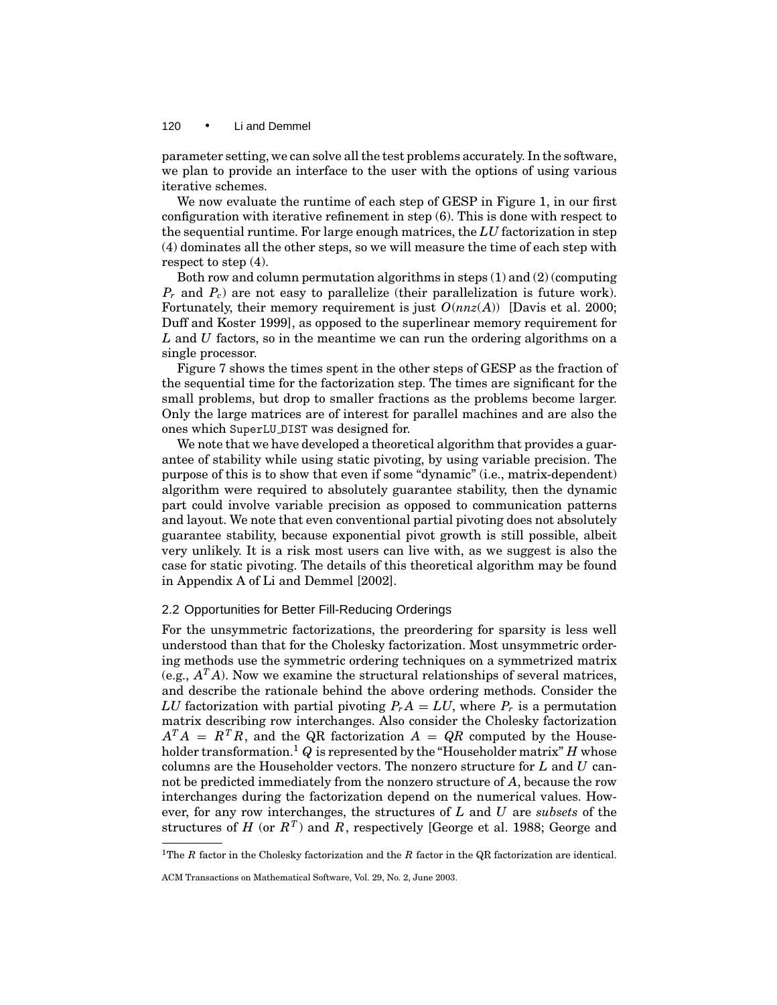parameter setting, we can solve all the test problems accurately. In the software, we plan to provide an interface to the user with the options of using various iterative schemes.

We now evaluate the runtime of each step of GESP in Figure 1, in our first configuration with iterative refinement in step (6). This is done with respect to the sequential runtime. For large enough matrices, the *LU* factorization in step (4) dominates all the other steps, so we will measure the time of each step with respect to step (4).

Both row and column permutation algorithms in steps (1) and (2) (computing  $P_r$  and  $P_c$ ) are not easy to parallelize (their parallelization is future work). Fortunately, their memory requirement is just  $O(nnz(A))$  [Davis et al. 2000; Duff and Koster 1999], as opposed to the superlinear memory requirement for *L* and *U* factors, so in the meantime we can run the ordering algorithms on a single processor.

Figure 7 shows the times spent in the other steps of GESP as the fraction of the sequential time for the factorization step. The times are significant for the small problems, but drop to smaller fractions as the problems become larger. Only the large matrices are of interest for parallel machines and are also the ones which SuperLU DIST was designed for.

We note that we have developed a theoretical algorithm that provides a guarantee of stability while using static pivoting, by using variable precision. The purpose of this is to show that even if some "dynamic" (i.e., matrix-dependent) algorithm were required to absolutely guarantee stability, then the dynamic part could involve variable precision as opposed to communication patterns and layout. We note that even conventional partial pivoting does not absolutely guarantee stability, because exponential pivot growth is still possible, albeit very unlikely. It is a risk most users can live with, as we suggest is also the case for static pivoting. The details of this theoretical algorithm may be found in Appendix A of Li and Demmel [2002].

# 2.2 Opportunities for Better Fill-Reducing Orderings

For the unsymmetric factorizations, the preordering for sparsity is less well understood than that for the Cholesky factorization. Most unsymmetric ordering methods use the symmetric ordering techniques on a symmetrized matrix (e.g.,  $A^T A$ ). Now we examine the structural relationships of several matrices, and describe the rationale behind the above ordering methods. Consider the *LU* factorization with partial pivoting  $P_r A = LU$ , where  $P_r$  is a permutation matrix describing row interchanges. Also consider the Cholesky factorization  $A^T A = R^T R$ , and the QR factorization  $A = QR$  computed by the Householder transformation.<sup>1</sup> *Q* is represented by the "Householder matrix" *H* whose columns are the Householder vectors. The nonzero structure for *L* and *U* cannot be predicted immediately from the nonzero structure of *A*, because the row interchanges during the factorization depend on the numerical values. However, for any row interchanges, the structures of *L* and *U* are *subsets* of the structures of *H* (or  $R^T$ ) and *R*, respectively [George et al. 1988; George and

<sup>1</sup>The *R* factor in the Cholesky factorization and the *R* factor in the QR factorization are identical.

ACM Transactions on Mathematical Software, Vol. 29, No. 2, June 2003.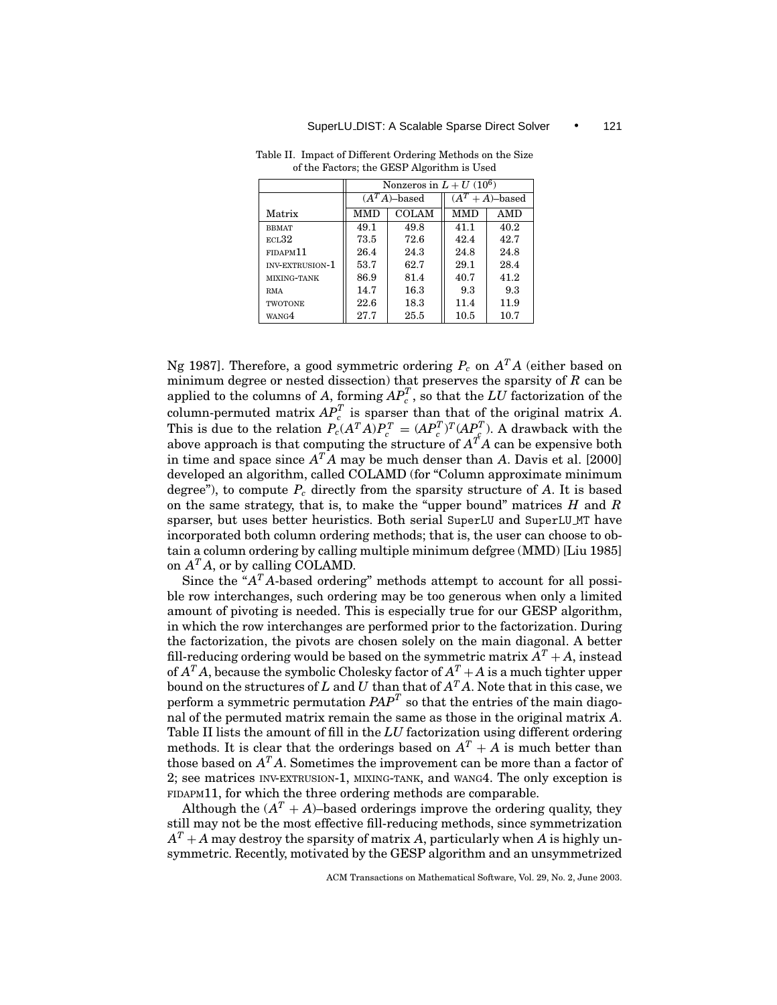|                      |            | Nonzeros in $L + U$ (10 <sup>6</sup> ) |                    |            |  |  |  |  |  |  |
|----------------------|------------|----------------------------------------|--------------------|------------|--|--|--|--|--|--|
|                      |            | $(A^T A)$ -based                       | $(A^T + A)$ -based |            |  |  |  |  |  |  |
| Matrix               | <b>MMD</b> | <b>COLAM</b>                           | <b>MMD</b>         | <b>AMD</b> |  |  |  |  |  |  |
| <b>BBMAT</b>         | 49.1       | 49.8                                   | 41.1               | 40.2       |  |  |  |  |  |  |
| ECL32                | 73.5       | 72.6                                   | 42.4               | 42.7       |  |  |  |  |  |  |
| FIDAPM <sup>11</sup> | 26.4       | 24.3                                   | 24.8               | 24.8       |  |  |  |  |  |  |
| INV-EXTRUSION-1      | 53.7       | 62.7                                   | 29.1               | 28.4       |  |  |  |  |  |  |
| MIXING-TANK          | 86.9       | 81.4                                   | 40.7               | 41.2       |  |  |  |  |  |  |
| <b>RMA</b>           | 14.7       | 16.3                                   | 9.3                | 9.3        |  |  |  |  |  |  |
| <b>TWOTONE</b>       | 22.6       | 18.3                                   | 11.4               | 11.9       |  |  |  |  |  |  |
| WANG4                | 27.7       | 25.5                                   | 10.5               | 10.7       |  |  |  |  |  |  |

Table II. Impact of Different Ordering Methods on the Size of the Factors; the GESP Algorithm is Used

Ng 1987]. Therefore, a good symmetric ordering  $P_c$  on  $A<sup>T</sup>A$  (either based on minimum degree or nested dissection) that preserves the sparsity of *R* can be applied to the columns of  $A$ , forming  $AP_c^T$ , so that the  $LU$  factorization of the column-permuted matrix  $AP_c^T$  is sparser than that of the original matrix *A*. This is due to the relation  $P_c(A^T A) P_c^T = (A P_c^T)^T (A P_c^T)$ . A drawback with the above approach is that computing the structure of *AT A* can be expensive both in time and space since *AT A* may be much denser than *A*. Davis et al. [2000] developed an algorithm, called COLAMD (for "Column approximate minimum degree"), to compute  $P_c$  directly from the sparsity structure of  $A$ . It is based on the same strategy, that is, to make the "upper bound" matrices *H* and *R* sparser, but uses better heuristics. Both serial SuperLU and SuperLU MT have incorporated both column ordering methods; that is, the user can choose to obtain a column ordering by calling multiple minimum defgree (MMD) [Liu 1985] on  $A^T A$ , or by calling COLAMD.

Since the "*AT A*-based ordering" methods attempt to account for all possible row interchanges, such ordering may be too generous when only a limited amount of pivoting is needed. This is especially true for our GESP algorithm, in which the row interchanges are performed prior to the factorization. During the factorization, the pivots are chosen solely on the main diagonal. A better fill-reducing ordering would be based on the symmetric matrix  $A<sup>T</sup> + A$ , instead of  $A^T A$ , because the symbolic Cholesky factor of  $A^T + A$  is a much tighter upper bound on the structures of *L* and *U* than that of *AT A*. Note that in this case, we perform a symmetric permutation  $PAP<sup>T</sup>$  so that the entries of the main diagonal of the permuted matrix remain the same as those in the original matrix *A*. Table II lists the amount of fill in the *LU* factorization using different ordering methods. It is clear that the orderings based on  $A<sup>T</sup> + A$  is much better than those based on  $A<sup>T</sup>A$ . Sometimes the improvement can be more than a factor of 2; see matrices INV-EXTRUSION-1, MIXING-TANK, and WANG4. The only exception is FIDAPM11, for which the three ordering methods are comparable.

Although the  $(A^T + A)$ –based orderings improve the ordering quality, they still may not be the most effective fill-reducing methods, since symmetrization  $A<sup>T</sup> + A$  may destroy the sparsity of matrix *A*, particularly when *A* is highly unsymmetric. Recently, motivated by the GESP algorithm and an unsymmetrized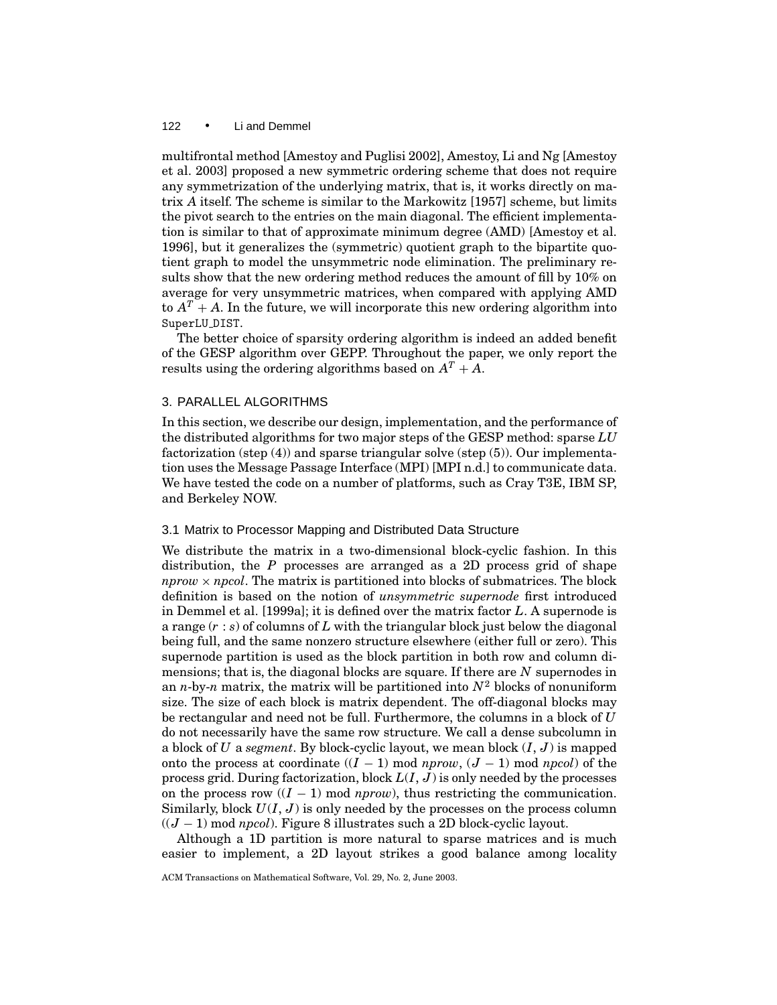multifrontal method [Amestoy and Puglisi 2002], Amestoy, Li and Ng [Amestoy et al. 2003] proposed a new symmetric ordering scheme that does not require any symmetrization of the underlying matrix, that is, it works directly on matrix *A* itself. The scheme is similar to the Markowitz [1957] scheme, but limits the pivot search to the entries on the main diagonal. The efficient implementation is similar to that of approximate minimum degree (AMD) [Amestoy et al. 1996], but it generalizes the (symmetric) quotient graph to the bipartite quotient graph to model the unsymmetric node elimination. The preliminary results show that the new ordering method reduces the amount of fill by 10% on average for very unsymmetric matrices, when compared with applying AMD to  $A^T + A$ . In the future, we will incorporate this new ordering algorithm into SuperLU DIST.

The better choice of sparsity ordering algorithm is indeed an added benefit of the GESP algorithm over GEPP. Throughout the paper, we only report the results using the ordering algorithms based on  $A<sup>T</sup> + A$ .

# 3. PARALLEL ALGORITHMS

In this section, we describe our design, implementation, and the performance of the distributed algorithms for two major steps of the GESP method: sparse *LU* factorization (step (4)) and sparse triangular solve (step (5)). Our implementation uses the Message Passage Interface (MPI) [MPI n.d.] to communicate data. We have tested the code on a number of platforms, such as Cray T3E, IBM SP, and Berkeley NOW.

# 3.1 Matrix to Processor Mapping and Distributed Data Structure

We distribute the matrix in a two-dimensional block-cyclic fashion. In this distribution, the *P* processes are arranged as a 2D process grid of shape *nprow*  $\times$  *npcol*. The matrix is partitioned into blocks of submatrices. The block definition is based on the notion of *unsymmetric supernode* first introduced in Demmel et al. [1999a]; it is defined over the matrix factor *L*. A supernode is a range (*r* : *s*) of columns of *L* with the triangular block just below the diagonal being full, and the same nonzero structure elsewhere (either full or zero). This supernode partition is used as the block partition in both row and column dimensions; that is, the diagonal blocks are square. If there are *N* supernodes in an *n*-by-*n* matrix, the matrix will be partitioned into  $N^2$  blocks of nonuniform size. The size of each block is matrix dependent. The off-diagonal blocks may be rectangular and need not be full. Furthermore, the columns in a block of *U* do not necessarily have the same row structure. We call a dense subcolumn in a block of *U* a *segment*. By block-cyclic layout, we mean block (*I*, *J*) is mapped onto the process at coordinate  $((I - 1) \text{ mod } n)$  *nprow*,  $(J - 1) \text{ mod } n$  *npcol*) of the process grid. During factorization, block *L*(*I*, *J*) is only needed by the processes on the process row  $((I - 1) \text{ mod } n$ *prow*), thus restricting the communication. Similarly, block  $U(I, J)$  is only needed by the processes on the process column ((*J* − 1) mod *npcol*). Figure 8 illustrates such a 2D block-cyclic layout.

Although a 1D partition is more natural to sparse matrices and is much easier to implement, a 2D layout strikes a good balance among locality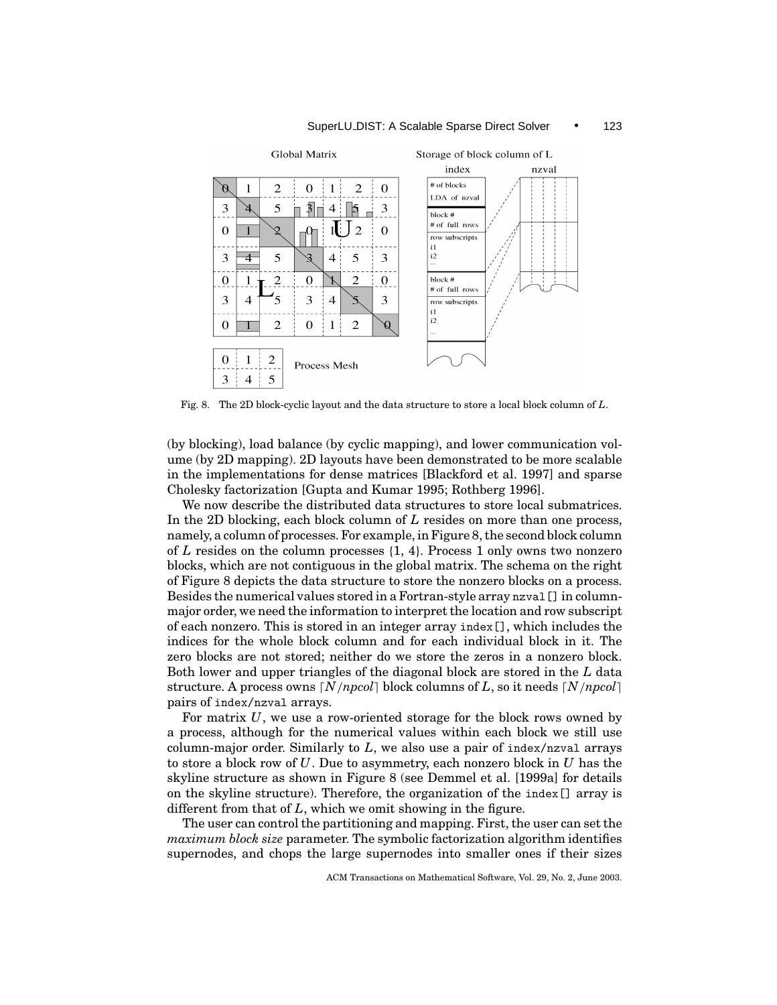



Fig. 8. The 2D block-cyclic layout and the data structure to store a local block column of *L*.

(by blocking), load balance (by cyclic mapping), and lower communication volume (by 2D mapping). 2D layouts have been demonstrated to be more scalable in the implementations for dense matrices [Blackford et al. 1997] and sparse Cholesky factorization [Gupta and Kumar 1995; Rothberg 1996].

We now describe the distributed data structures to store local submatrices. In the 2D blocking, each block column of *L* resides on more than one process, namely, a column of processes. For example, in Figure 8, the second block column of *L* resides on the column processes {1, 4}. Process 1 only owns two nonzero blocks, which are not contiguous in the global matrix. The schema on the right of Figure 8 depicts the data structure to store the nonzero blocks on a process. Besides the numerical values stored in a Fortran-style array nzval[] in columnmajor order, we need the information to interpret the location and row subscript of each nonzero. This is stored in an integer array index[], which includes the indices for the whole block column and for each individual block in it. The zero blocks are not stored; neither do we store the zeros in a nonzero block. Both lower and upper triangles of the diagonal block are stored in the *L* data structure. A process owns  $\lceil N/npcol \rceil$  block columns of *L*, so it needs  $\lceil N/npcol \rceil$ pairs of index/nzval arrays.

For matrix *U*, we use a row-oriented storage for the block rows owned by a process, although for the numerical values within each block we still use column-major order. Similarly to *L*, we also use a pair of index/nzval arrays to store a block row of *U*. Due to asymmetry, each nonzero block in *U* has the skyline structure as shown in Figure 8 (see Demmel et al. [1999a] for details on the skyline structure). Therefore, the organization of the index[] array is different from that of *L*, which we omit showing in the figure.

The user can control the partitioning and mapping. First, the user can set the *maximum block size* parameter. The symbolic factorization algorithm identifies supernodes, and chops the large supernodes into smaller ones if their sizes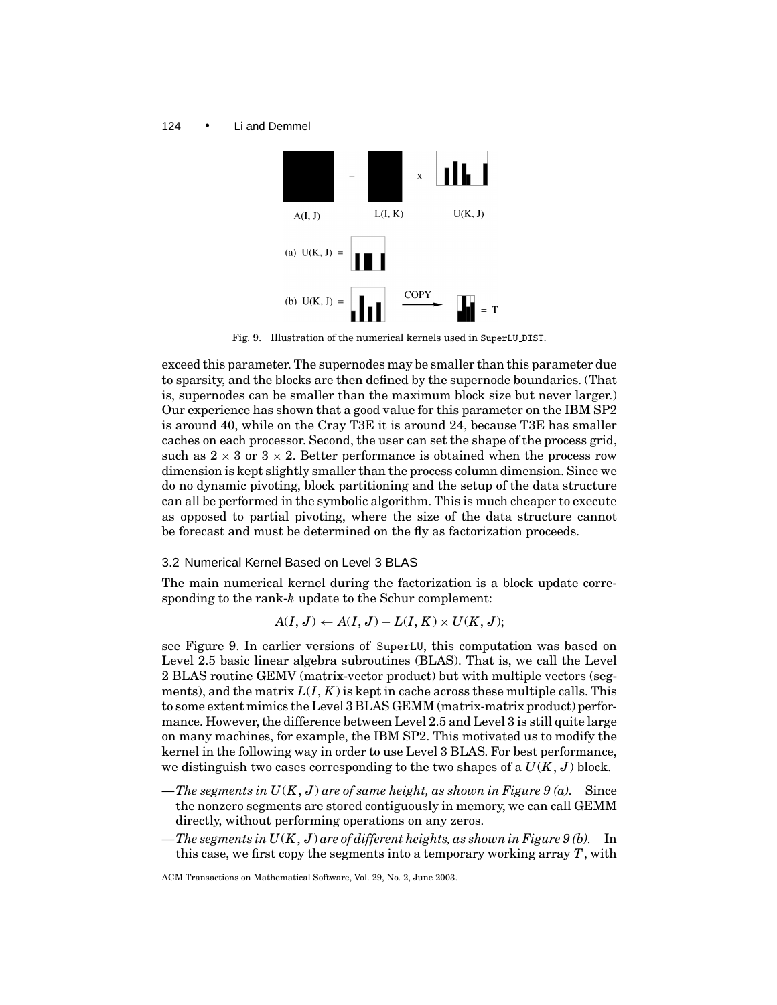

Fig. 9. Illustration of the numerical kernels used in SuperLU DIST.

exceed this parameter. The supernodes may be smaller than this parameter due to sparsity, and the blocks are then defined by the supernode boundaries. (That is, supernodes can be smaller than the maximum block size but never larger.) Our experience has shown that a good value for this parameter on the IBM SP2 is around 40, while on the Cray T3E it is around 24, because T3E has smaller caches on each processor. Second, the user can set the shape of the process grid, such as  $2 \times 3$  or  $3 \times 2$ . Better performance is obtained when the process row dimension is kept slightly smaller than the process column dimension. Since we do no dynamic pivoting, block partitioning and the setup of the data structure can all be performed in the symbolic algorithm. This is much cheaper to execute as opposed to partial pivoting, where the size of the data structure cannot be forecast and must be determined on the fly as factorization proceeds.

# 3.2 Numerical Kernel Based on Level 3 BLAS

The main numerical kernel during the factorization is a block update corresponding to the rank-*k* update to the Schur complement:

$$
A(I, J) \leftarrow A(I, J) - L(I, K) \times U(K, J);
$$

see Figure 9. In earlier versions of SuperLU, this computation was based on Level 2.5 basic linear algebra subroutines (BLAS). That is, we call the Level 2 BLAS routine GEMV (matrix-vector product) but with multiple vectors (segments), and the matrix  $L(I, K)$  is kept in cache across these multiple calls. This to some extent mimics the Level 3 BLAS GEMM (matrix-matrix product) performance. However, the difference between Level 2.5 and Level 3 is still quite large on many machines, for example, the IBM SP2. This motivated us to modify the kernel in the following way in order to use Level 3 BLAS. For best performance, we distinguish two cases corresponding to the two shapes of a  $U(K, J)$  block.

- —*The segments in U*(*K*, *J*) *are of same height, as shown in Figure 9 (a).* Since the nonzero segments are stored contiguously in memory, we can call GEMM directly, without performing operations on any zeros.
- —*The segments in*  $U(K, J)$  are of different heights, as shown in Figure 9(b). In this case, we first copy the segments into a temporary working array *T*, with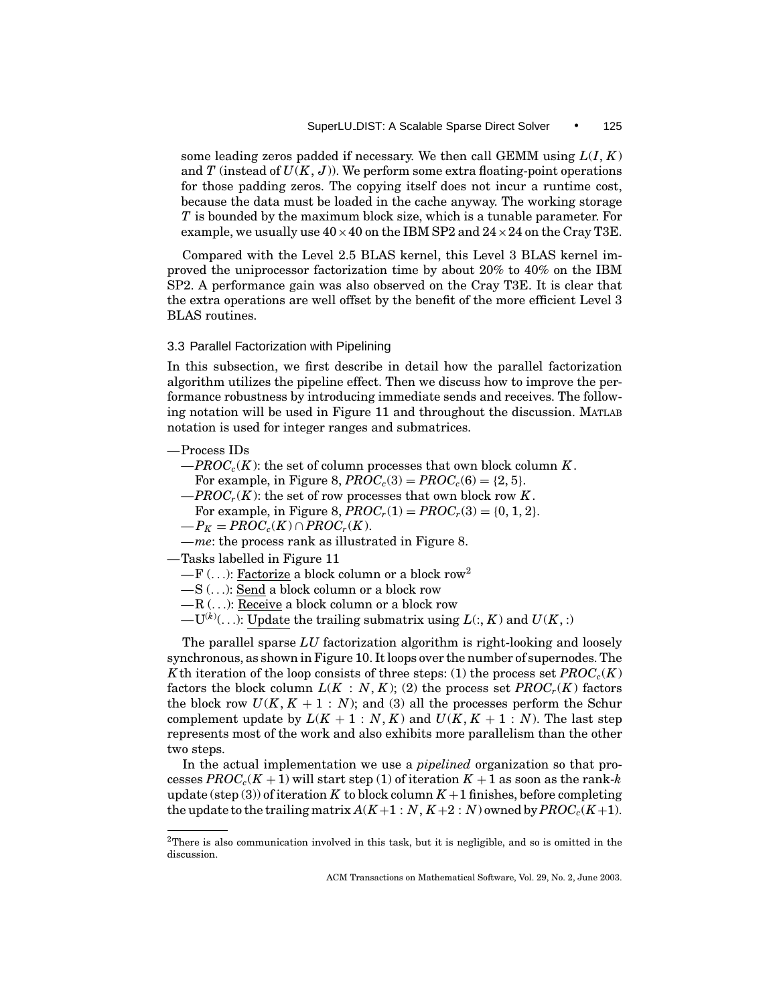some leading zeros padded if necessary. We then call GEMM using  $L(I, K)$ and *T* (instead of  $U(K, J)$ ). We perform some extra floating-point operations for those padding zeros. The copying itself does not incur a runtime cost, because the data must be loaded in the cache anyway. The working storage *T* is bounded by the maximum block size, which is a tunable parameter. For example, we usually use  $40 \times 40$  on the IBM SP2 and  $24 \times 24$  on the Cray T3E.

Compared with the Level 2.5 BLAS kernel, this Level 3 BLAS kernel improved the uniprocessor factorization time by about 20% to 40% on the IBM SP2. A performance gain was also observed on the Cray T3E. It is clear that the extra operations are well offset by the benefit of the more efficient Level 3 BLAS routines.

# 3.3 Parallel Factorization with Pipelining

In this subsection, we first describe in detail how the parallel factorization algorithm utilizes the pipeline effect. Then we discuss how to improve the performance robustness by introducing immediate sends and receives. The following notation will be used in Figure 11 and throughout the discussion. MATLAB notation is used for integer ranges and submatrices.

# —Process IDs

- $-{\rm PROC}_c(K)$ : the set of column processes that own block column K. For example, in Figure 8,  $PROC_c(3) = PROC_c(6) = \{2, 5\}.$
- $-{\text{PROC}_r(K)}$ : the set of row processes that own block row *K*.
	- For example, in Figure 8,  $PROC_r(1) = PROC_r(3) = \{0, 1, 2\}.$
- $-P_K = PROC_c(K) \cap PROC_r(K)$ .
- —*me*: the process rank as illustrated in Figure 8.
- —Tasks labelled in Figure 11
	- $-F$  (...): Factorize a block column or a block row<sup>2</sup>
	- —S (...): Send a block column or a block row
	- $-R$  (...): Receive a block column or a block row
	- $-$ U<sup>(k)</sup>(...): Update the trailing submatrix using  $L(:, K)$  and  $U(K,:)$

The parallel sparse *LU* factorization algorithm is right-looking and loosely synchronous, as shown in Figure 10. It loops over the number of supernodes. The *K* th iteration of the loop consists of three steps: (1) the process set  $PROC_c(K)$ factors the block column  $L(K : N, K)$ ; (2) the process set  $PROC_r(K)$  factors the block row  $U(K, K + 1 : N)$ ; and (3) all the processes perform the Schur complement update by  $L(K + 1 : N, K)$  and  $U(K, K + 1 : N)$ . The last step represents most of the work and also exhibits more parallelism than the other two steps.

In the actual implementation we use a *pipelined* organization so that processes *PROC<sub>c</sub>*( $K + 1$ ) will start step (1) of iteration  $K + 1$  as soon as the rank-*k* update (step  $(3)$ ) of iteration *K* to block column  $K+1$  finishes, before completing the update to the trailing matrix  $A(K+1:N, K+2:N)$  owned by  $PROC_c(K+1)$ .

<sup>&</sup>lt;sup>2</sup>There is also communication involved in this task, but it is negligible, and so is omitted in the discussion.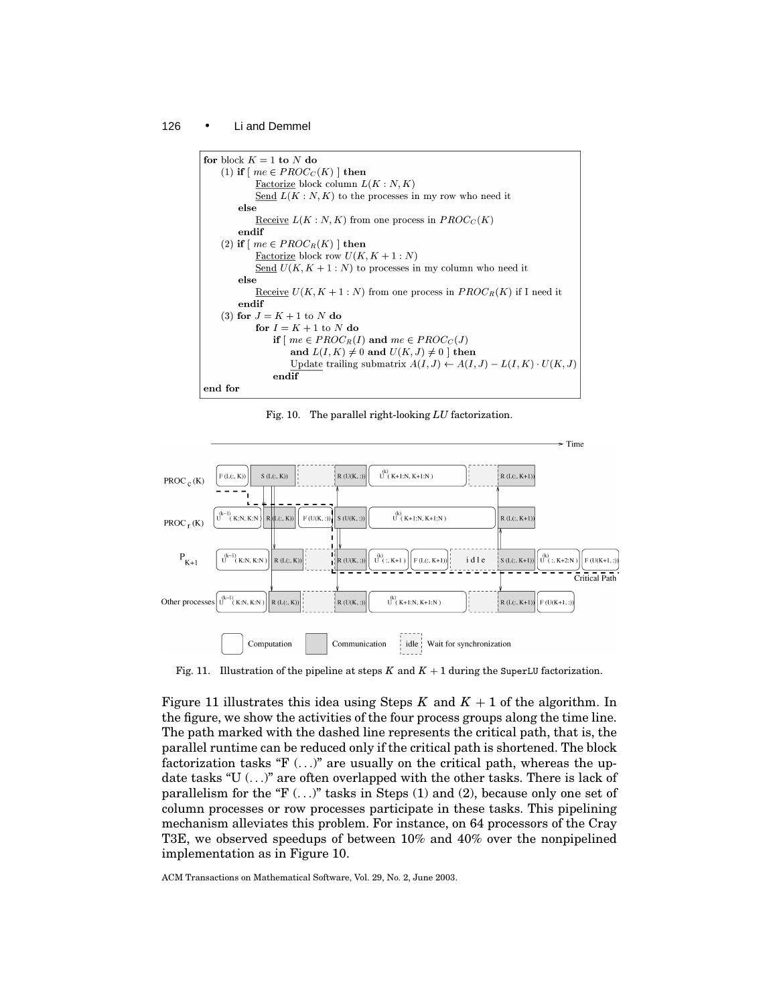

Fig. 10. The parallel right-looking *LU* factorization.



Fig. 11. Illustration of the pipeline at steps *K* and *K* + 1 during the SuperLU factorization.

Figure 11 illustrates this idea using Steps *K* and *K* + 1 of the algorithm. In the figure, we show the activities of the four process groups along the time line. The path marked with the dashed line represents the critical path, that is, the parallel runtime can be reduced only if the critical path is shortened. The block factorization tasks "F  $($ ...)" are usually on the critical path, whereas the update tasks "U (...)" are often overlapped with the other tasks. There is lack of parallelism for the "F  $(\ldots)$ " tasks in Steps (1) and (2), because only one set of column processes or row processes participate in these tasks. This pipelining mechanism alleviates this problem. For instance, on 64 processors of the Cray T3E, we observed speedups of between 10% and 40% over the nonpipelined implementation as in Figure 10.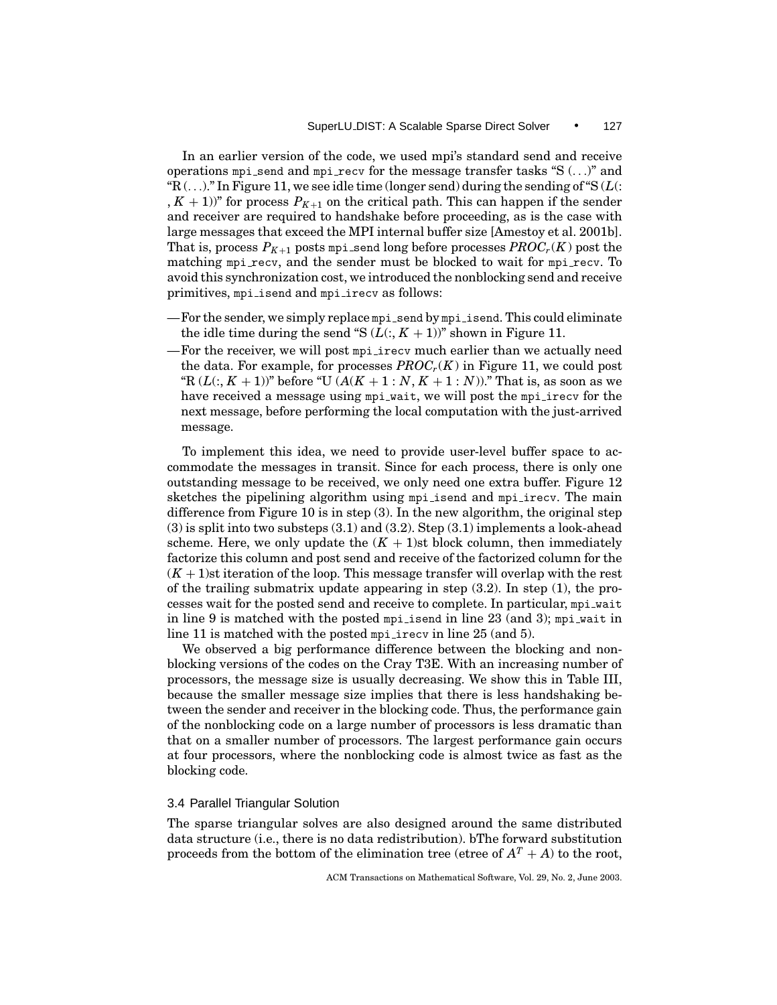In an earlier version of the code, we used mpi's standard send and receive operations mpi send and mpi recv for the message transfer tasks "S  $(...)$ " and "R (...)." In Figure 11, we see idle time (longer send) during the sending of "S (*L*(:  $(K + 1)$ <sup>r</sup> for process  $P_{K+1}$  on the critical path. This can happen if the sender and receiver are required to handshake before proceeding, as is the case with large messages that exceed the MPI internal buffer size [Amestoy et al. 2001b]. That is, process  $P_{K+1}$  posts mpi send long before processes  $PROC<sub>r</sub>(K)$  post the matching mpi recv, and the sender must be blocked to wait for mpi recv. To avoid this synchronization cost, we introduced the nonblocking send and receive primitives, mpi isend and mpi irecv as follows:

- —For the sender, we simply replace mpi send by mpi isend. This could eliminate the idle time during the send "S  $(L(:, K + 1))$ " shown in Figure 11.
- —For the receiver, we will post mpi irecv much earlier than we actually need the data. For example, for processes  $PROC_r(K)$  in Figure 11, we could post "R  $(L(:, K + 1))$ " before "U  $(A(K + 1 : N, K + 1 : N))$ ." That is, as soon as we have received a message using mpi\_wait, we will post the mpi\_irecv for the next message, before performing the local computation with the just-arrived message.

To implement this idea, we need to provide user-level buffer space to accommodate the messages in transit. Since for each process, there is only one outstanding message to be received, we only need one extra buffer. Figure 12 sketches the pipelining algorithm using mpi\_isend and mpi\_irecv. The main difference from Figure 10 is in step (3). In the new algorithm, the original step (3) is split into two substeps (3.1) and (3.2). Step (3.1) implements a look-ahead scheme. Here, we only update the  $(K + 1)$ st block column, then immediately factorize this column and post send and receive of the factorized column for the  $(K+1)$ st iteration of the loop. This message transfer will overlap with the rest of the trailing submatrix update appearing in step  $(3.2)$ . In step  $(1)$ , the processes wait for the posted send and receive to complete. In particular, mpi wait in line 9 is matched with the posted  $mpi$  isend in line 23 (and 3); mpi wait in line 11 is matched with the posted mpi irecv in line 25 (and 5).

We observed a big performance difference between the blocking and nonblocking versions of the codes on the Cray T3E. With an increasing number of processors, the message size is usually decreasing. We show this in Table III, because the smaller message size implies that there is less handshaking between the sender and receiver in the blocking code. Thus, the performance gain of the nonblocking code on a large number of processors is less dramatic than that on a smaller number of processors. The largest performance gain occurs at four processors, where the nonblocking code is almost twice as fast as the blocking code.

# 3.4 Parallel Triangular Solution

The sparse triangular solves are also designed around the same distributed data structure (i.e., there is no data redistribution). bThe forward substitution proceeds from the bottom of the elimination tree (etree of  $A^T + A$ ) to the root,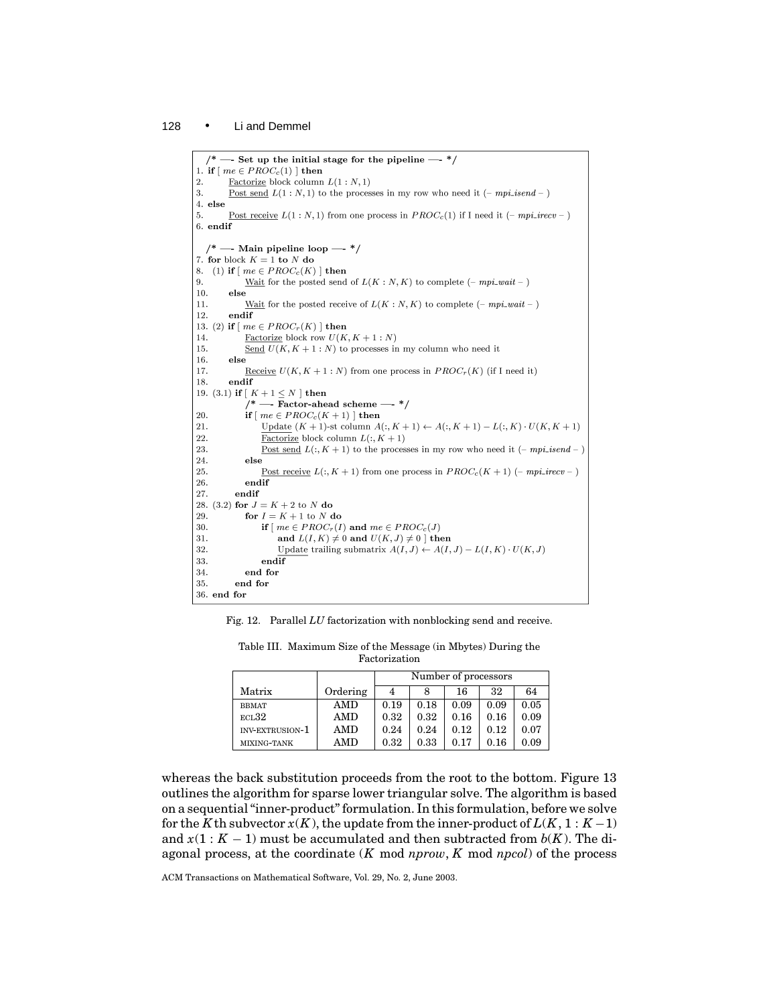-- Set up the initial stage for the pipeline  $-$ -  $*/$ 1. if  $\lceil me \in PROC_c(1) \rceil$  then  $\overline{2}$ . Factorize block column  $L(1:N,1)$ <u>Post send</u>  $L(1:N,1)$  to the processes in my row who need it  $(-mpi$ *send* - )  $\mathbf{3}$ . 4. else  $5.$ Post receive  $L(1:N,1)$  from one process in  $PROC_c(1)$  if I need it  $(-mpi\_irecv-)$ 6. endif  $/*$  — Main pipeline loop — \*/ 7. for block  $K = 1$  to N do 8. (1) if  $\lceil me \in PROC_{c}(K) \rceil$  then Wait for the posted send of  $L(K: N, K)$  to complete  $(-mpi_w + (-1)^m)$ 9.  $10.$ else  $11.$ Wait for the posted receive of  $L(K : N, K)$  to complete  $(-mpi\_wait-)$ 12.  $_{\rm endif}$ 13. (2) if  $[me \in PROC_r(K)]$  then 14. Factorize block row  $U(K, K + 1 : N)$  $15.$ Send  $U(K, K + 1 : N)$  to processes in my column who need it 16. else Receive  $U(K, K + 1 : N)$  from one process in  $PROC_r(K)$  (if I need it) 17. 18.  $_{\rm endif}$ 19. (3.1) if  $[K + 1 \leq N]$  then  $\sqrt{*}$  — Factor-ahead scheme —  $*/$ 20. if  $\lceil me \in PROC_{c}(K+1) \rceil$  then  $21.$ Update  $(K + 1)$ -st column  $A(:, K + 1) \leftarrow A(:, K + 1) - L(:, K) \cdot U(K, K + 1)$ 22.  $\overline{\text{Factorize}}$  block column  $L(:, K + 1)$ 23. Post send  $L(:, K + 1)$  to the processes in my row who need it  $(-mpi\_isend - )$ 24. else 25. Post receive  $L(:, K + 1)$  from one process in  $PROC_c(K + 1)$  (- mpi-irecv - ) 26. endif 27. endif 28. (3.2) for  $J = K + 2$  to N do 29. for  $I = K + 1$  to N do 30. if  $\lceil me \in PROC_r(I)$  and  $me \in PROC_c(J)$ 31. and  $L(I, K) \neq 0$  and  $U(K, J) \neq 0$  ] then Update trailing submatrix  $A(I, J) \leftarrow A(I, J) - L(I, K) \cdot U(K, J)$ 32. 33.  $endif$ 34. end for 35. end for 36. end for

Fig. 12. Parallel *LU* factorization with nonblocking send and receive.

|                 |          | Number of processors |      |      |      |      |  |  |
|-----------------|----------|----------------------|------|------|------|------|--|--|
| Matrix          | Ordering | 4                    | 8    | 16   | 32   | 64   |  |  |
| <b>BBMAT</b>    | AMD      | 0.19                 | 0.18 | 0.09 | 0.09 | 0.05 |  |  |
| ECL32           | AMD      | 0.32                 | 0.32 | 0.16 | 0.16 | 0.09 |  |  |
| INV-EXTRUSION-1 | AMD      | 0.24                 | 0.24 | 0.12 | 0.12 | 0.07 |  |  |
| MIXING-TANK     | AMD      | 0.32                 | 0.33 | 0.17 | 0.16 | 0.09 |  |  |

Table III. Maximum Size of the Message (in Mbytes) During the Factorization

whereas the back substitution proceeds from the root to the bottom. Figure 13 outlines the algorithm for sparse lower triangular solve. The algorithm is based on a sequential "inner-product" formulation. In this formulation, before we solve for the *K* th subvector  $x(K)$ , the update from the inner-product of  $L(K, 1: K-1)$ and  $x(1 : K - 1)$  must be accumulated and then subtracted from  $b(K)$ . The diagonal process, at the coordinate (*K* mod *nprow*, *K* mod *npcol*) of the process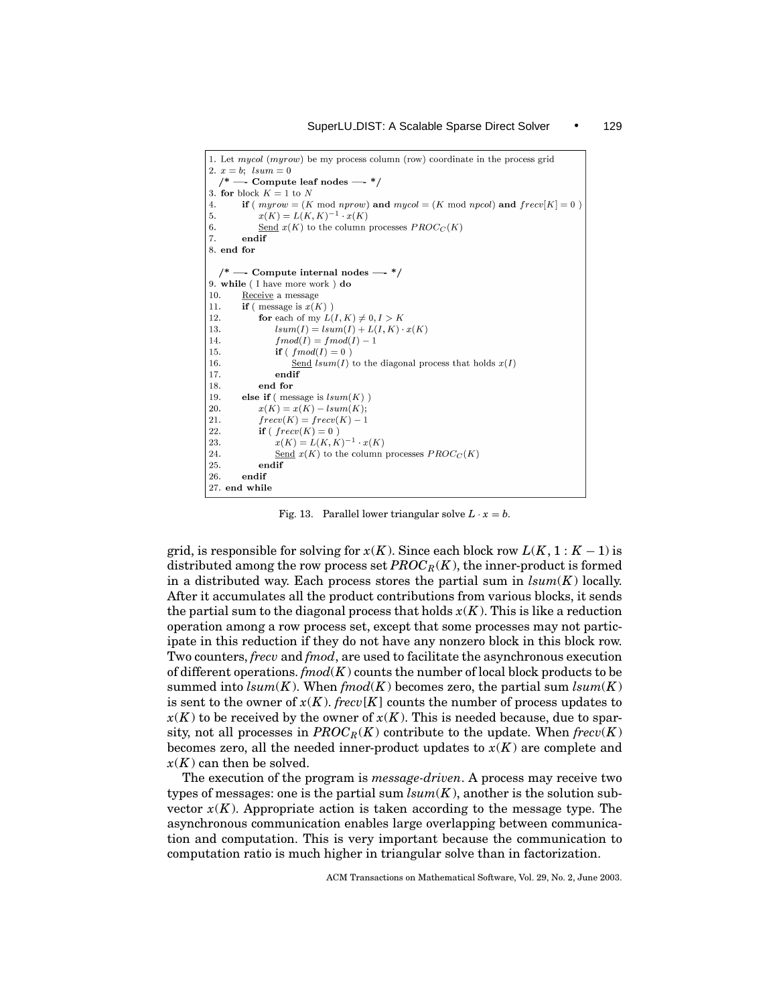```
1. Let mycol (myrow) be my process column (row) coordinate in the process grid
2. x = b; lsum = 0/* — Compute leaf nodes — */
3. for block K = 1 to N
       if (myrow = (K \mod nprow) and mycol = (K \mod npcol) and freev[K] = 0)
4.
           x(K) = L(K,K)^{-1} \cdot x(K)5.6.
           Send x(K) to the column processes PROC_C(K)endif
7.
8. end for
  /* \longrightarrow Compute internal nodes -*/9. while (I have more work) do
10.
       Receive a message
       if ( message is x(K) )
11.for each of my L(I, K) \neq 0, I > K12.
13.
               lsum(I) = lsum(I) + L(I, K) \cdot x(K)14.fmod(I) = fmod(I) - 115.
               if ( fmod(I) = 0 )
                   Send \lim_{I \to \infty} (I) to the diagonal process that holds x(I)16.
17.
               endif
           end for
18.
19else if (message is lsum(K))
           x(K) = x(K) - lsum(K);20.
           freev(K) = freev(K) - 121.
22.
           if (frecv(K) = 0)
               x(K) = L(K, K)^{-1} \cdot x(K)23.
24.
               Send x(K) to the column processes PROC_C(K)25.
           endif
26.
       endif
27. end while
```
Fig. 13. Parallel lower triangular solve  $L \cdot x = b$ .

grid, is responsible for solving for  $x(K)$ . Since each block row  $L(K, 1: K - 1)$  is distributed among the row process set  $PROC_R(K)$ , the inner-product is formed in a distributed way. Each process stores the partial sum in  $lsum(K)$  locally. After it accumulates all the product contributions from various blocks, it sends the partial sum to the diagonal process that holds  $x(K)$ . This is like a reduction operation among a row process set, except that some processes may not participate in this reduction if they do not have any nonzero block in this block row. Two counters, *frecv* and *fmod*, are used to facilitate the asynchronous execution of different operations.  $\text{fmod}(K)$  counts the number of local block products to be summed into  $lsum(K)$ . When  $fmod(K)$  becomes zero, the partial sum  $lsum(K)$ is sent to the owner of  $x(K)$ . *frecv*[*K*] counts the number of process updates to  $x(K)$  to be received by the owner of  $x(K)$ . This is needed because, due to sparsity, not all processes in  $PROC_R(K)$  contribute to the update. When  $\text{free}(K)$ becomes zero, all the needed inner-product updates to  $x(K)$  are complete and  $x(K)$  can then be solved.

The execution of the program is *message-driven*. A process may receive two types of messages: one is the partial sum  $lsum(K)$ , another is the solution subvector  $x(K)$ . Appropriate action is taken according to the message type. The asynchronous communication enables large overlapping between communication and computation. This is very important because the communication to computation ratio is much higher in triangular solve than in factorization.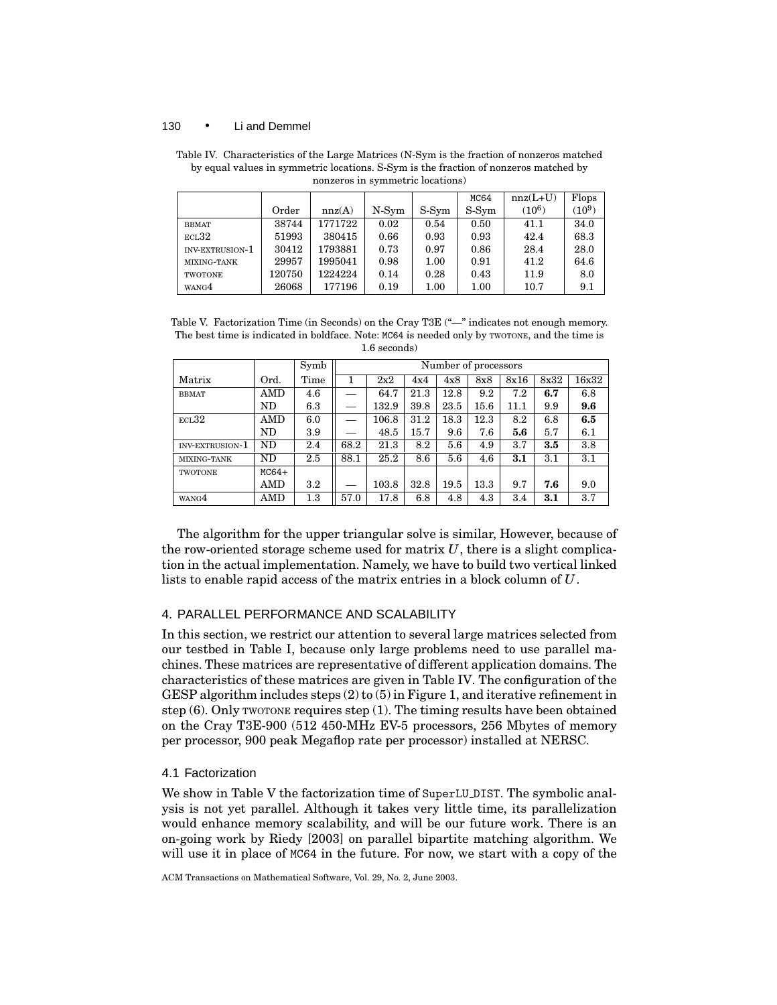Table IV. Characteristics of the Large Matrices (N-Sym is the fraction of nonzeros matched by equal values in symmetric locations. S-Sym is the fraction of nonzeros matched by nonzeros in symmetric locations)

|                 |        |         |       |       | MC64  | $nnz(L+U)$ | Flops        |
|-----------------|--------|---------|-------|-------|-------|------------|--------------|
|                 | Order  | nnz(A)  | N-Sym | S-Sym | S-Sym | $(10^6)$   | $\rm (10^9)$ |
| <b>BBMAT</b>    | 38744  | 1771722 | 0.02  | 0.54  | 0.50  | 41.1       | 34.0         |
| ECL32           | 51993  | 380415  | 0.66  | 0.93  | 0.93  | 42.4       | 68.3         |
| INV-EXTRUSION-1 | 30412  | 1793881 | 0.73  | 0.97  | 0.86  | 28.4       | 28.0         |
| MIXING-TANK     | 29957  | 1995041 | 0.98  | 1.00  | 0.91  | 41.2       | 64.6         |
| <b>TWOTONE</b>  | 120750 | 1224224 | 0.14  | 0.28  | 0.43  | 11.9       | 8.0          |
| WANG4           | 26068  | 177196  | 0.19  | 1.00  | 1.00  | 10.7       | 9.1          |

Table V. Factorization Time (in Seconds) on the Cray T3E ("—" indicates not enough memory. The best time is indicated in boldface. Note: MC64 is needed only by TWOTONE, and the time is 1.6 seconds)

|                 |         | Symb    | Number of processors |       |      |      |          |      |         |       |
|-----------------|---------|---------|----------------------|-------|------|------|----------|------|---------|-------|
| Matrix          | Ord.    | Time    |                      | 2x2   | 4x4  | 4x8  | 8x8      | 8x16 | 8x32    | 16x32 |
| <b>BBMAT</b>    | AMD     | 4.6     |                      | 64.7  | 21.3 | 12.8 | 9.2      | 7.2  | 6.7     | 6.8   |
|                 | ND      | 6.3     |                      | 132.9 | 39.8 | 23.5 | 15.6     | 11.1 | 9.9     | 9.6   |
| ECL32           | AMD     | 6.0     |                      | 106.8 | 31.2 | 18.3 | $12.3\,$ | 8.2  | 6.8     | 6.5   |
|                 | ND      | 3.9     |                      | 48.5  | 15.7 | 9.6  | 7.6      | 5.6  | 5.7     | 6.1   |
| INV-EXTRUSION-1 | ND      | 2.4     | 68.2                 | 21.3  | 8.2  | 5.6  | 4.9      | 3.7  | $3.5\,$ | 3.8   |
| MIXING-TANK     | ND      | 2.5     | 88.1                 | 25.2  | 8.6  | 5.6  | 4.6      | 3.1  | 3.1     | 3.1   |
| <b>TWOTONE</b>  | $MC64+$ |         |                      |       |      |      |          |      |         |       |
|                 | AMD     | $3.2\,$ |                      | 103.8 | 32.8 | 19.5 | 13.3     | 9.7  | 7.6     | 9.0   |
| WANG4           | AMD     | 1.3     | 57.0                 | 17.8  | 6.8  | 4.8  | 4.3      | 3.4  | 3.1     | 3.7   |

The algorithm for the upper triangular solve is similar, However, because of the row-oriented storage scheme used for matrix *U*, there is a slight complication in the actual implementation. Namely, we have to build two vertical linked lists to enable rapid access of the matrix entries in a block column of *U*.

# 4. PARALLEL PERFORMANCE AND SCALABILITY

In this section, we restrict our attention to several large matrices selected from our testbed in Table I, because only large problems need to use parallel machines. These matrices are representative of different application domains. The characteristics of these matrices are given in Table IV. The configuration of the GESP algorithm includes steps (2) to (5) in Figure 1, and iterative refinement in step (6). Only TWOTONE requires step (1). The timing results have been obtained on the Cray T3E-900 (512 450-MHz EV-5 processors, 256 Mbytes of memory per processor, 900 peak Megaflop rate per processor) installed at NERSC.

### 4.1 Factorization

We show in Table V the factorization time of SuperLU DIST. The symbolic analysis is not yet parallel. Although it takes very little time, its parallelization would enhance memory scalability, and will be our future work. There is an on-going work by Riedy [2003] on parallel bipartite matching algorithm. We will use it in place of MC64 in the future. For now, we start with a copy of the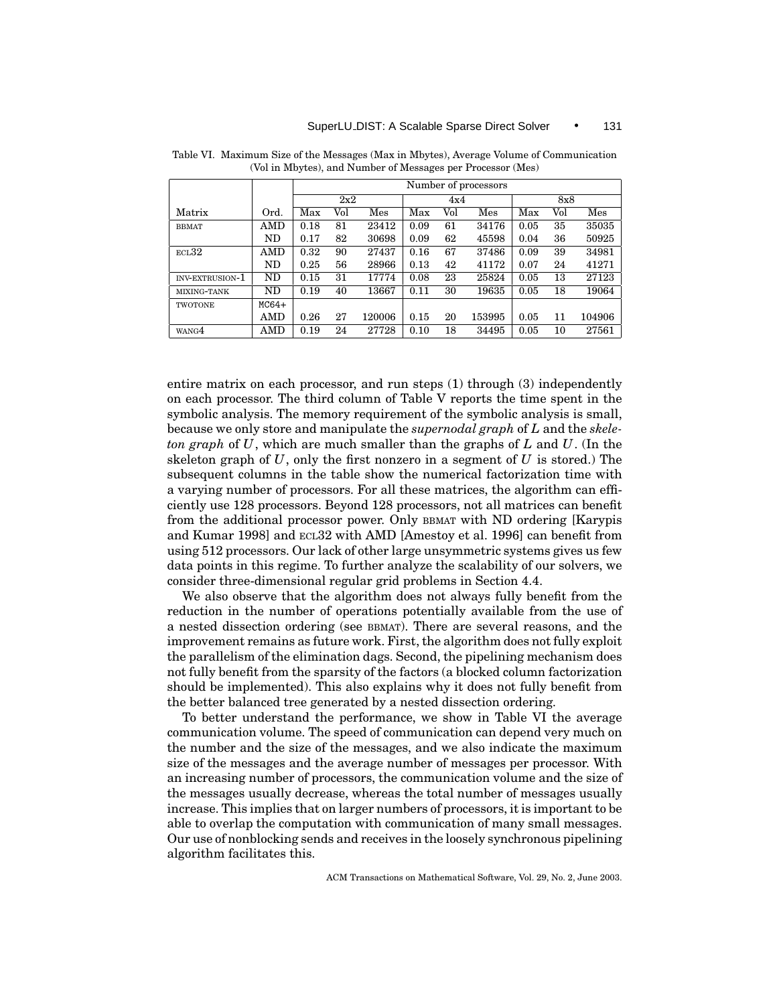|                 |         |      | Number of processors |        |      |     |        |      |     |        |  |
|-----------------|---------|------|----------------------|--------|------|-----|--------|------|-----|--------|--|
|                 |         | 2x2  |                      |        |      | 4x4 |        |      | 8x8 |        |  |
| Matrix          | Ord.    | Max  | Vol                  | Mes    | Max  | Vol | Mes    | Max  | Vol | Mes    |  |
| <b>BBMAT</b>    | AMD     | 0.18 | 81                   | 23412  | 0.09 | 61  | 34176  | 0.05 | 35  | 35035  |  |
|                 | ND      | 0.17 | 82                   | 30698  | 0.09 | 62  | 45598  | 0.04 | 36  | 50925  |  |
| ECL32           | AMD     | 0.32 | 90                   | 27437  | 0.16 | 67  | 37486  | 0.09 | 39  | 34981  |  |
|                 | ND      | 0.25 | 56                   | 28966  | 0.13 | 42  | 41172  | 0.07 | 24  | 41271  |  |
| INV-EXTRUSION-1 | ND      | 0.15 | 31                   | 17774  | 0.08 | 23  | 25824  | 0.05 | 13  | 27123  |  |
| MIXING-TANK     | ND      | 0.19 | 40                   | 13667  | 0.11 | 30  | 19635  | 0.05 | 18  | 19064  |  |
| <b>TWOTONE</b>  | $MC64+$ |      |                      |        |      |     |        |      |     |        |  |
|                 | AMD     | 0.26 | 27                   | 120006 | 0.15 | 20  | 153995 | 0.05 | 11  | 104906 |  |
| WANG4           | AMD     | 0.19 | 24                   | 27728  | 0.10 | 18  | 34495  | 0.05 | 10  | 27561  |  |

Table VI. Maximum Size of the Messages (Max in Mbytes), Average Volume of Communication (Vol in Mbytes), and Number of Messages per Processor (Mes)

entire matrix on each processor, and run steps (1) through (3) independently on each processor. The third column of Table V reports the time spent in the symbolic analysis. The memory requirement of the symbolic analysis is small, because we only store and manipulate the *supernodal graph* of *L* and the *skeleton graph* of *U*, which are much smaller than the graphs of *L* and *U*. (In the skeleton graph of *U*, only the first nonzero in a segment of *U* is stored.) The subsequent columns in the table show the numerical factorization time with a varying number of processors. For all these matrices, the algorithm can efficiently use 128 processors. Beyond 128 processors, not all matrices can benefit from the additional processor power. Only BBMAT with ND ordering [Karypis and Kumar 1998] and ECL32 with AMD [Amestoy et al. 1996] can benefit from using 512 processors. Our lack of other large unsymmetric systems gives us few data points in this regime. To further analyze the scalability of our solvers, we consider three-dimensional regular grid problems in Section 4.4.

We also observe that the algorithm does not always fully benefit from the reduction in the number of operations potentially available from the use of a nested dissection ordering (see BBMAT). There are several reasons, and the improvement remains as future work. First, the algorithm does not fully exploit the parallelism of the elimination dags. Second, the pipelining mechanism does not fully benefit from the sparsity of the factors (a blocked column factorization should be implemented). This also explains why it does not fully benefit from the better balanced tree generated by a nested dissection ordering.

To better understand the performance, we show in Table VI the average communication volume. The speed of communication can depend very much on the number and the size of the messages, and we also indicate the maximum size of the messages and the average number of messages per processor. With an increasing number of processors, the communication volume and the size of the messages usually decrease, whereas the total number of messages usually increase. This implies that on larger numbers of processors, it is important to be able to overlap the computation with communication of many small messages. Our use of nonblocking sends and receives in the loosely synchronous pipelining algorithm facilitates this.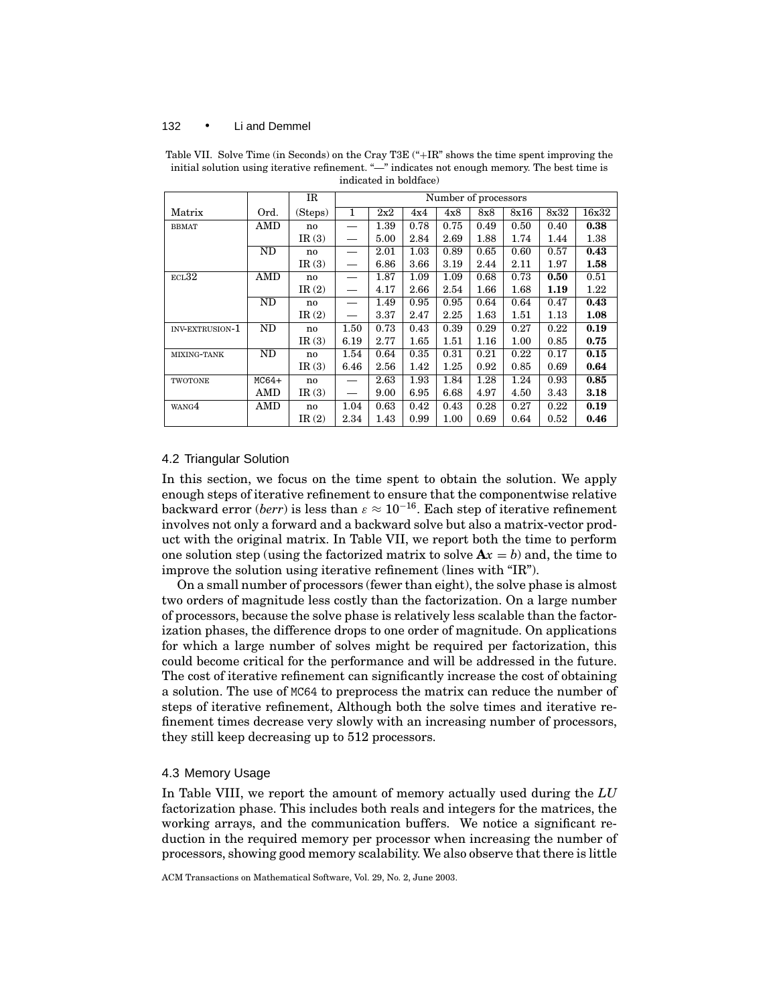|                 |         | IR       |      |      |      |      | Number of processors |      |      |       |
|-----------------|---------|----------|------|------|------|------|----------------------|------|------|-------|
| Matrix          | Ord.    | (Steps)  | 1    | 2x2  | 4x4  | 4x8  | 8x8                  | 8x16 | 8x32 | 16x32 |
| <b>BBMAT</b>    | AMD     | no.      |      | 1.39 | 0.78 | 0.75 | 0.49                 | 0.50 | 0.40 | 0.38  |
|                 |         | IR $(3)$ |      | 5.00 | 2.84 | 2.69 | 1.88                 | 1.74 | 1.44 | 1.38  |
|                 | ND      | no.      |      | 2.01 | 1.03 | 0.89 | 0.65                 | 0.60 | 0.57 | 0.43  |
|                 |         | IR $(3)$ |      | 6.86 | 3.66 | 3.19 | 2.44                 | 2.11 | 1.97 | 1.58  |
| ECL32           | AMD     | no.      |      | 1.87 | 1.09 | 1.09 | 0.68                 | 0.73 | 0.50 | 0.51  |
|                 |         | IR $(2)$ |      | 4.17 | 2.66 | 2.54 | 1.66                 | 1.68 | 1.19 | 1.22  |
|                 | ND      | no.      |      | 1.49 | 0.95 | 0.95 | 0.64                 | 0.64 | 0.47 | 0.43  |
|                 |         | IR $(2)$ |      | 3.37 | 2.47 | 2.25 | 1.63                 | 1.51 | 1.13 | 1.08  |
| INV-EXTRUSION-1 | ND      | no.      | 1.50 | 0.73 | 0.43 | 0.39 | 0.29                 | 0.27 | 0.22 | 0.19  |
|                 |         | IR $(3)$ | 6.19 | 2.77 | 1.65 | 1.51 | 1.16                 | 1.00 | 0.85 | 0.75  |
| MIXING-TANK     | ND      | no.      | 1.54 | 0.64 | 0.35 | 0.31 | 0.21                 | 0.22 | 0.17 | 0.15  |
|                 |         | IR $(3)$ | 6.46 | 2.56 | 1.42 | 1.25 | 0.92                 | 0.85 | 0.69 | 0.64  |
| <b>TWOTONE</b>  | $MC64+$ | no.      |      | 2.63 | 1.93 | 1.84 | 1.28                 | 1.24 | 0.93 | 0.85  |
|                 | AMD     | IR $(3)$ |      | 9.00 | 6.95 | 6.68 | 4.97                 | 4.50 | 3.43 | 3.18  |
| WANG4           | AMD     | no.      | 1.04 | 0.63 | 0.42 | 0.43 | 0.28                 | 0.27 | 0.22 | 0.19  |
|                 |         | IR $(2)$ | 2.34 | 1.43 | 0.99 | 1.00 | 0.69                 | 0.64 | 0.52 | 0.46  |

Table VII. Solve Time (in Seconds) on the Cray T3E ("+IR" shows the time spent improving the initial solution using iterative refinement. "—" indicates not enough memory. The best time is indicated in boldface)

# 4.2 Triangular Solution

In this section, we focus on the time spent to obtain the solution. We apply enough steps of iterative refinement to ensure that the componentwise relative backward error (*berr*) is less than  $\varepsilon \approx 10^{-16}$ . Each step of iterative refinement involves not only a forward and a backward solve but also a matrix-vector product with the original matrix. In Table VII, we report both the time to perform one solution step (using the factorized matrix to solve  $A x = b$ ) and, the time to improve the solution using iterative refinement (lines with "IR").

On a small number of processors (fewer than eight), the solve phase is almost two orders of magnitude less costly than the factorization. On a large number of processors, because the solve phase is relatively less scalable than the factorization phases, the difference drops to one order of magnitude. On applications for which a large number of solves might be required per factorization, this could become critical for the performance and will be addressed in the future. The cost of iterative refinement can significantly increase the cost of obtaining a solution. The use of MC64 to preprocess the matrix can reduce the number of steps of iterative refinement, Although both the solve times and iterative refinement times decrease very slowly with an increasing number of processors, they still keep decreasing up to 512 processors.

# 4.3 Memory Usage

In Table VIII, we report the amount of memory actually used during the *LU* factorization phase. This includes both reals and integers for the matrices, the working arrays, and the communication buffers. We notice a significant reduction in the required memory per processor when increasing the number of processors, showing good memory scalability. We also observe that there is little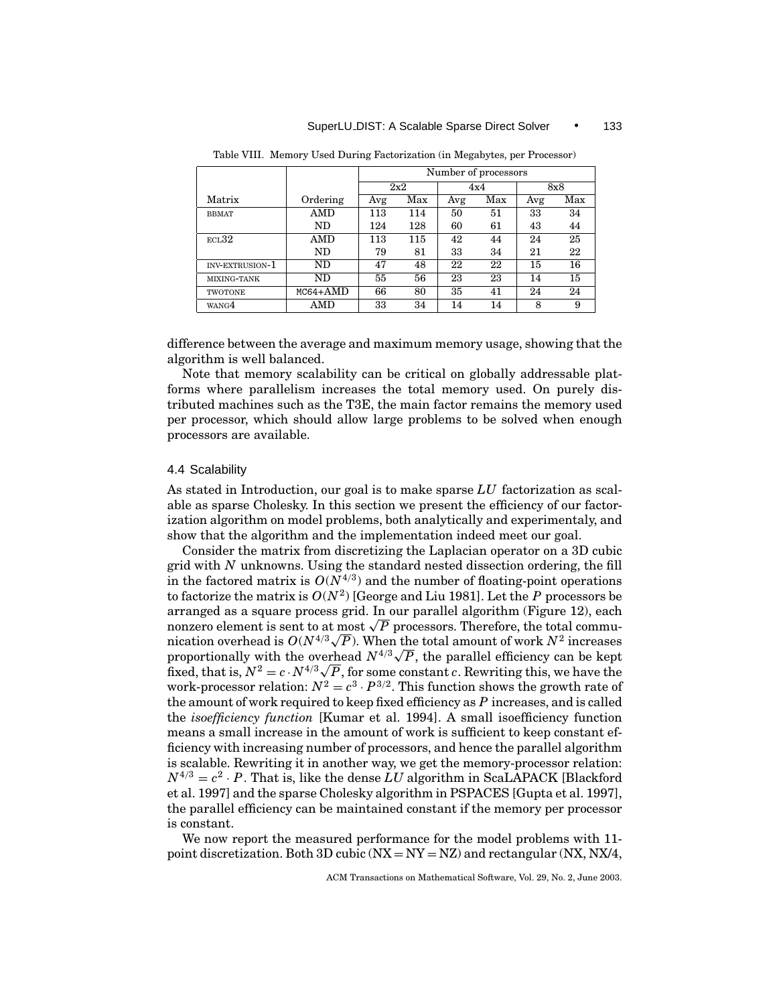|                 |                             | Number of processors |     |     |     |     |     |  |
|-----------------|-----------------------------|----------------------|-----|-----|-----|-----|-----|--|
|                 |                             |                      | 2x2 |     | 4x4 |     | 8x8 |  |
| Matrix          | Ordering                    | Avg                  | Max | Avg | Max | Avg | Max |  |
| <b>BBMAT</b>    | AMD                         | 113                  | 114 | 50  | 51  | 33  | 34  |  |
|                 | ND                          | 124                  | 128 | 60  | 61  | 43  | 44  |  |
| ECL32           | AMD                         | 113                  | 115 | 42  | 44  | 24  | 25  |  |
|                 | ND                          | 79                   | 81  | 33  | 34  | 21  | 22  |  |
| INV-EXTRUSION-1 | ND                          | 47                   | 48  | 22  | 22  | 15  | 16  |  |
| MIXING-TANK     | ND                          | 55                   | 56  | 23  | 23  | 14  | 15  |  |
| <b>TWOTONE</b>  | $MC64+AMD$                  | 66                   | 80  | 35  | 41  | 24  | 24  |  |
| WANG4           | $\mathop{\rm AMD}\nolimits$ | 33                   | 34  | 14  | 14  | 8   | 9   |  |

Table VIII. Memory Used During Factorization (in Megabytes, per Processor)

difference between the average and maximum memory usage, showing that the algorithm is well balanced.

Note that memory scalability can be critical on globally addressable platforms where parallelism increases the total memory used. On purely distributed machines such as the T3E, the main factor remains the memory used per processor, which should allow large problems to be solved when enough processors are available.

# 4.4 Scalability

As stated in Introduction, our goal is to make sparse *LU* factorization as scalable as sparse Cholesky. In this section we present the efficiency of our factorization algorithm on model problems, both analytically and experimentaly, and show that the algorithm and the implementation indeed meet our goal.

Consider the matrix from discretizing the Laplacian operator on a 3D cubic grid with *N* unknowns. Using the standard nested dissection ordering, the fill in the factored matrix is  $O(N^{4/3})$  and the number of floating-point operations to factorize the matrix is  $O(N^2)$  [George and Liu 1981]. Let the *P* processors be arranged as a square process grid. In our parallel algorithm (Figure 12), each nonzero element is sent to at most  $\sqrt{P}$  processors. Therefore, the total communonzero element is sent to at most  $\sqrt{P}$  processors. Therefore, the total commu-<br>nication overhead is  $O(N^{4/3}\sqrt{P}).$  When the total amount of work  $N^2$  increases nication overhead is  $O(N^{3/3} \sqrt{P})$ . When the total amount of work  $N^2$  increases<br>proportionally with the overhead  $N^{4/3} \sqrt{P}$ , the parallel efficiency can be kept proportionally with the overhead  $N^{\gamma} \sqrt{P}$ , the parallel emclency can be kept<br>fixed, that is,  $N^2 = c \cdot N^{4/3} \sqrt{P}$ , for some constant *c*. Rewriting this, we have the work-processor relation:  $N^2 = c^3 \cdot P^{3/2}$ . This function shows the growth rate of the amount of work required to keep fixed efficiency as *P* increases, and is called the *isoefficiency function* [Kumar et al. 1994]. A small isoefficiency function means a small increase in the amount of work is sufficient to keep constant efficiency with increasing number of processors, and hence the parallel algorithm is scalable. Rewriting it in another way, we get the memory-processor relation:  $N^{4/3} = c^2 \cdot P$ . That is, like the dense *LU* algorithm in ScaLAPACK [Blackford] et al. 1997] and the sparse Cholesky algorithm in PSPACES [Gupta et al. 1997], the parallel efficiency can be maintained constant if the memory per processor is constant.

We now report the measured performance for the model problems with 11 point discretization. Both 3D cubic  $(NX = NY = NZ)$  and rectangular  $(NX, NX/4,$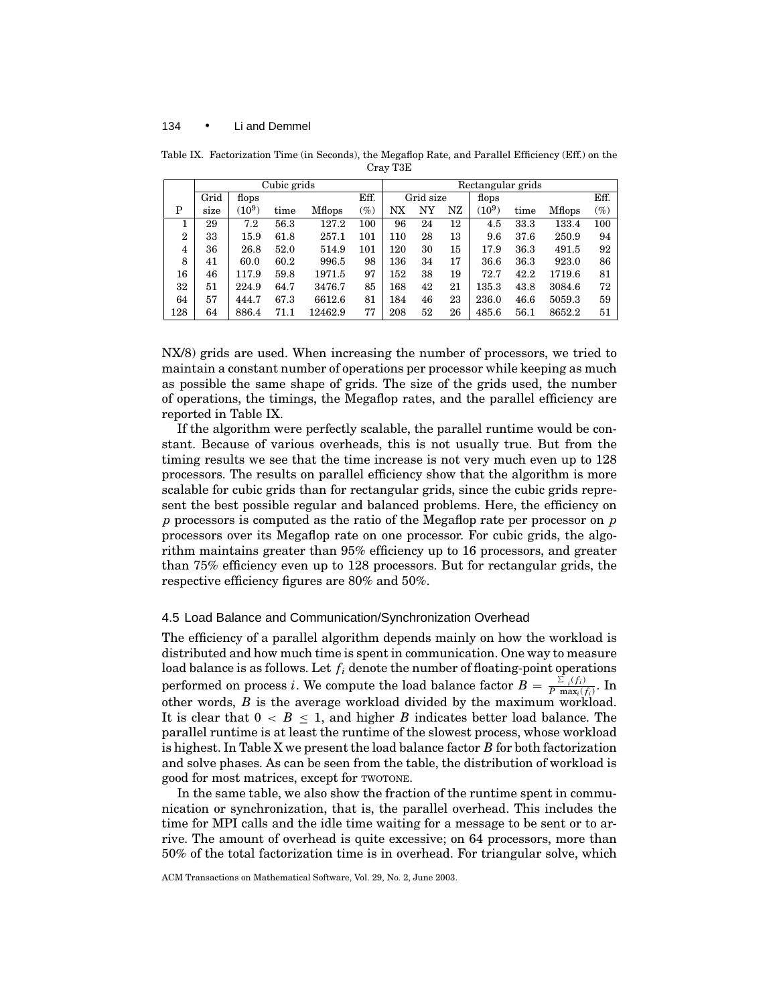|                | Cubic grids |        |      |               |                 |     | Rectangular grids |    |          |      |        |        |
|----------------|-------------|--------|------|---------------|-----------------|-----|-------------------|----|----------|------|--------|--------|
|                | Grid        | flops  |      |               | Eff.            |     | Grid size         |    | flops    |      |        | Eff.   |
| P              | size        | $10^9$ | time | <b>Mflops</b> | $\mathscr{G}_o$ | NX  | NY                | NZ | $(10^9)$ | time | Mflops | $(\%)$ |
|                | 29          | 7.2    | 56.3 | 127.2         | 100             | 96  | 24                | 12 | 4.5      | 33.3 | 133.4  | 100    |
| $\overline{2}$ | 33          | 15.9   | 61.8 | 257.1         | 101             | 110 | 28                | 13 | 9.6      | 37.6 | 250.9  | 94     |
| 4              | 36          | 26.8   | 52.0 | 514.9         | 101             | 120 | 30                | 15 | 17.9     | 36.3 | 491.5  | 92     |
| 8              | 41          | 60.0   | 60.2 | 996.5         | 98              | 136 | 34                | 17 | 36.6     | 36.3 | 923.0  | 86     |
| 16             | 46          | 117.9  | 59.8 | 1971.5        | 97              | 152 | 38                | 19 | 72.7     | 42.2 | 1719.6 | 81     |
| 32             | 51          | 224.9  | 64.7 | 3476.7        | 85              | 168 | 42                | 21 | 135.3    | 43.8 | 3084.6 | 72     |
| 64             | 57          | 444.7  | 67.3 | 6612.6        | 81              | 184 | 46                | 23 | 236.0    | 46.6 | 5059.3 | 59     |
| 128            | 64          | 886.4  | 71.1 | 12462.9       | 77              | 208 | 52                | 26 | 485.6    | 56.1 | 8652.2 | 51     |

Table IX. Factorization Time (in Seconds), the Megaflop Rate, and Parallel Efficiency (Eff.) on the Cray T3E

NX/8) grids are used. When increasing the number of processors, we tried to maintain a constant number of operations per processor while keeping as much as possible the same shape of grids. The size of the grids used, the number of operations, the timings, the Megaflop rates, and the parallel efficiency are reported in Table IX.

If the algorithm were perfectly scalable, the parallel runtime would be constant. Because of various overheads, this is not usually true. But from the timing results we see that the time increase is not very much even up to 128 processors. The results on parallel efficiency show that the algorithm is more scalable for cubic grids than for rectangular grids, since the cubic grids represent the best possible regular and balanced problems. Here, the efficiency on *p* processors is computed as the ratio of the Megaflop rate per processor on *p* processors over its Megaflop rate on one processor. For cubic grids, the algorithm maintains greater than 95% efficiency up to 16 processors, and greater than 75% efficiency even up to 128 processors. But for rectangular grids, the respective efficiency figures are 80% and 50%.

#### 4.5 Load Balance and Communication/Synchronization Overhead

The efficiency of a parallel algorithm depends mainly on how the workload is distributed and how much time is spent in communication. One way to measure load balance is as follows. Let  $f_i$  denote the number of floating-point operations performed on process *i*. We compute the load balance factor  $B = \frac{\sum_i (f_i)}{P \max_i (f_i)}$ . In other words, *B* is the average workload divided by the maximum workload. It is clear that  $0 < B \leq 1$ , and higher *B* indicates better load balance. The parallel runtime is at least the runtime of the slowest process, whose workload is highest. In Table X we present the load balance factor *B* for both factorization and solve phases. As can be seen from the table, the distribution of workload is good for most matrices, except for TWOTONE.

In the same table, we also show the fraction of the runtime spent in communication or synchronization, that is, the parallel overhead. This includes the time for MPI calls and the idle time waiting for a message to be sent or to arrive. The amount of overhead is quite excessive; on 64 processors, more than 50% of the total factorization time is in overhead. For triangular solve, which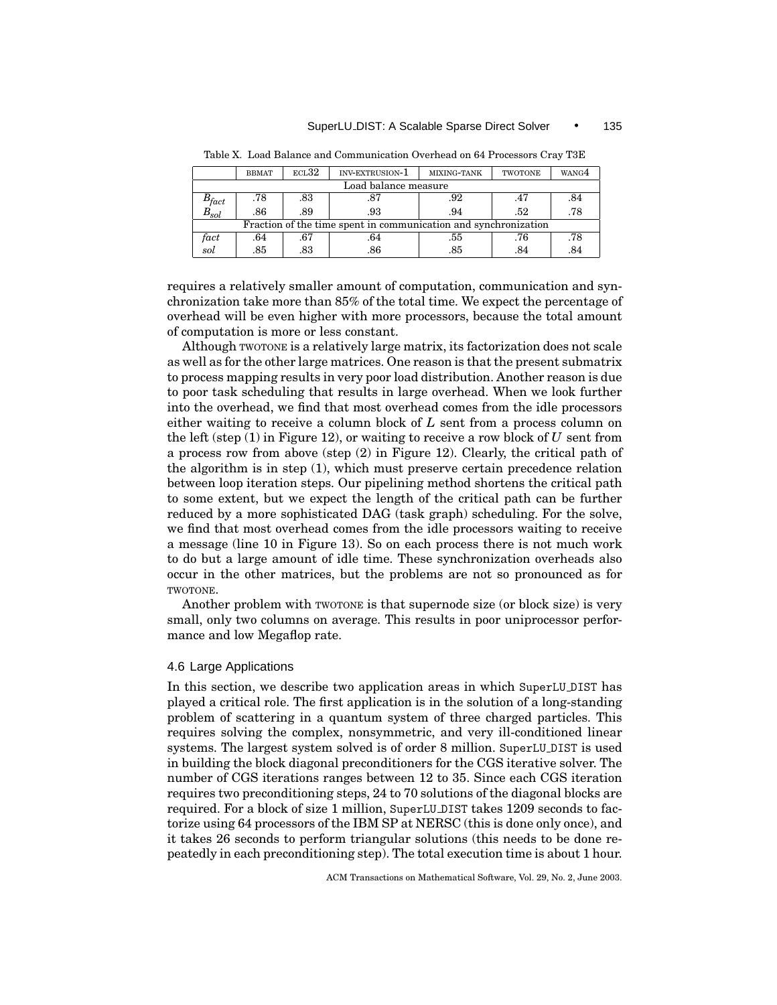|                      | <b>BBMAT</b>                                                    | ECL32 | INV-EXTRUSION-1 | MIXING-TANK | <b>TWOTONE</b> | WANG4 |  |  |  |  |  |
|----------------------|-----------------------------------------------------------------|-------|-----------------|-------------|----------------|-------|--|--|--|--|--|
| Load balance measure |                                                                 |       |                 |             |                |       |  |  |  |  |  |
| $B_{fact}$           | .78                                                             | .83   | .87             | .92         | .47            | .84   |  |  |  |  |  |
| $B_{sol}$            | .86                                                             | .89   | .93             | .94         | .52            | .78   |  |  |  |  |  |
|                      | Fraction of the time spent in communication and synchronization |       |                 |             |                |       |  |  |  |  |  |
| fact                 | .64                                                             | .67   | .64             | .55         | .76            | .78   |  |  |  |  |  |
| sol                  | .85                                                             | .83   | .86             | .85         | .84            | .84   |  |  |  |  |  |

Table X. Load Balance and Communication Overhead on 64 Processors Cray T3E

requires a relatively smaller amount of computation, communication and synchronization take more than 85% of the total time. We expect the percentage of overhead will be even higher with more processors, because the total amount of computation is more or less constant.

Although TWOTONE is a relatively large matrix, its factorization does not scale as well as for the other large matrices. One reason is that the present submatrix to process mapping results in very poor load distribution. Another reason is due to poor task scheduling that results in large overhead. When we look further into the overhead, we find that most overhead comes from the idle processors either waiting to receive a column block of *L* sent from a process column on the left (step (1) in Figure 12), or waiting to receive a row block of *U* sent from a process row from above (step (2) in Figure 12). Clearly, the critical path of the algorithm is in step (1), which must preserve certain precedence relation between loop iteration steps. Our pipelining method shortens the critical path to some extent, but we expect the length of the critical path can be further reduced by a more sophisticated DAG (task graph) scheduling. For the solve, we find that most overhead comes from the idle processors waiting to receive a message (line 10 in Figure 13). So on each process there is not much work to do but a large amount of idle time. These synchronization overheads also occur in the other matrices, but the problems are not so pronounced as for TWOTONE.

Another problem with TWOTONE is that supernode size (or block size) is very small, only two columns on average. This results in poor uniprocessor performance and low Megaflop rate.

# 4.6 Large Applications

In this section, we describe two application areas in which SuperLU DIST has played a critical role. The first application is in the solution of a long-standing problem of scattering in a quantum system of three charged particles. This requires solving the complex, nonsymmetric, and very ill-conditioned linear systems. The largest system solved is of order 8 million. SuperLU DIST is used in building the block diagonal preconditioners for the CGS iterative solver. The number of CGS iterations ranges between 12 to 35. Since each CGS iteration requires two preconditioning steps, 24 to 70 solutions of the diagonal blocks are required. For a block of size 1 million, SuperLU DIST takes 1209 seconds to factorize using 64 processors of the IBM SP at NERSC (this is done only once), and it takes 26 seconds to perform triangular solutions (this needs to be done repeatedly in each preconditioning step). The total execution time is about 1 hour.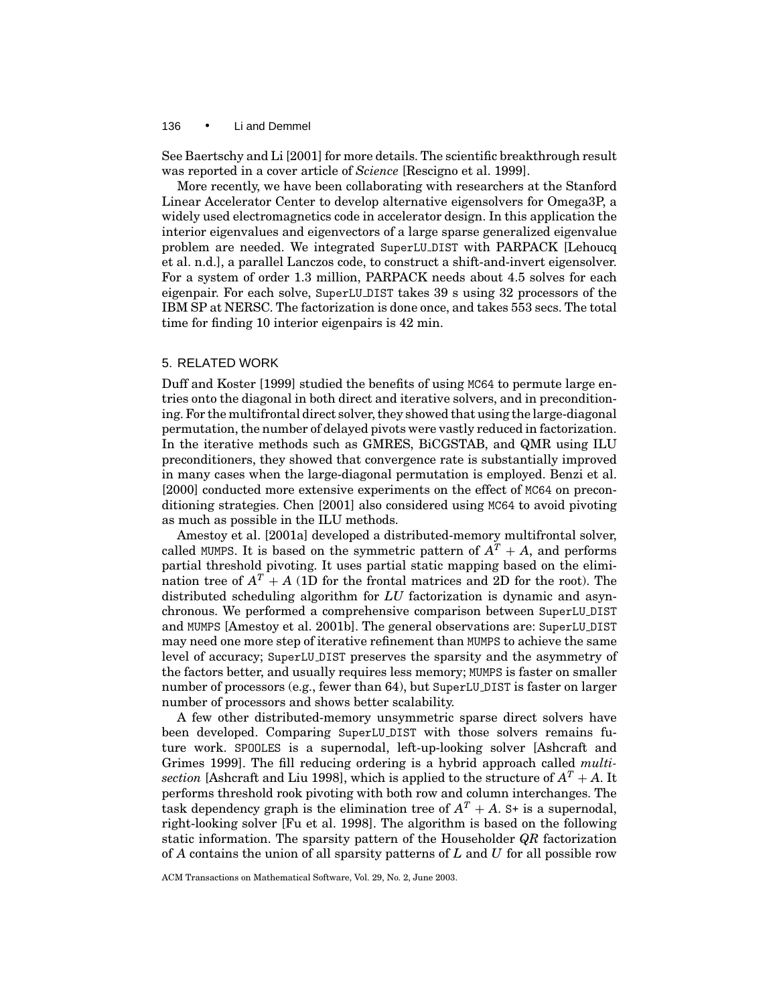See Baertschy and Li [2001] for more details. The scientific breakthrough result was reported in a cover article of *Science* [Rescigno et al. 1999].

More recently, we have been collaborating with researchers at the Stanford Linear Accelerator Center to develop alternative eigensolvers for Omega3P, a widely used electromagnetics code in accelerator design. In this application the interior eigenvalues and eigenvectors of a large sparse generalized eigenvalue problem are needed. We integrated SuperLU DIST with PARPACK [Lehoucq et al. n.d.], a parallel Lanczos code, to construct a shift-and-invert eigensolver. For a system of order 1.3 million, PARPACK needs about 4.5 solves for each eigenpair. For each solve, SuperLU DIST takes 39 s using 32 processors of the IBM SP at NERSC. The factorization is done once, and takes 553 secs. The total time for finding 10 interior eigenpairs is 42 min.

# 5. RELATED WORK

Duff and Koster [1999] studied the benefits of using MC64 to permute large entries onto the diagonal in both direct and iterative solvers, and in preconditioning. For the multifrontal direct solver, they showed that using the large-diagonal permutation, the number of delayed pivots were vastly reduced in factorization. In the iterative methods such as GMRES, BiCGSTAB, and QMR using ILU preconditioners, they showed that convergence rate is substantially improved in many cases when the large-diagonal permutation is employed. Benzi et al. [2000] conducted more extensive experiments on the effect of MC64 on preconditioning strategies. Chen [2001] also considered using MC64 to avoid pivoting as much as possible in the ILU methods.

Amestoy et al. [2001a] developed a distributed-memory multifrontal solver, called MUMPS. It is based on the symmetric pattern of  $A<sup>T</sup> + A$ , and performs partial threshold pivoting. It uses partial static mapping based on the elimination tree of  $A<sup>T</sup> + A$  (1D for the frontal matrices and 2D for the root). The distributed scheduling algorithm for *LU* factorization is dynamic and asynchronous. We performed a comprehensive comparison between SuperLU DIST and MUMPS [Amestoy et al. 2001b]. The general observations are: SuperLU DIST may need one more step of iterative refinement than MUMPS to achieve the same level of accuracy; SuperLU DIST preserves the sparsity and the asymmetry of the factors better, and usually requires less memory; MUMPS is faster on smaller number of processors (e.g., fewer than 64), but SuperLU DIST is faster on larger number of processors and shows better scalability.

A few other distributed-memory unsymmetric sparse direct solvers have been developed. Comparing SuperLU DIST with those solvers remains future work. SPOOLES is a supernodal, left-up-looking solver [Ashcraft and Grimes 1999]. The fill reducing ordering is a hybrid approach called *multisection* [Ashcraft and Liu 1998], which is applied to the structure of  $A<sup>T</sup> + A$ . It performs threshold rook pivoting with both row and column interchanges. The task dependency graph is the elimination tree of  $A<sup>T</sup> + A$ . S+ is a supernodal, right-looking solver [Fu et al. 1998]. The algorithm is based on the following static information. The sparsity pattern of the Householder *QR* factorization of *A* contains the union of all sparsity patterns of *L* and *U* for all possible row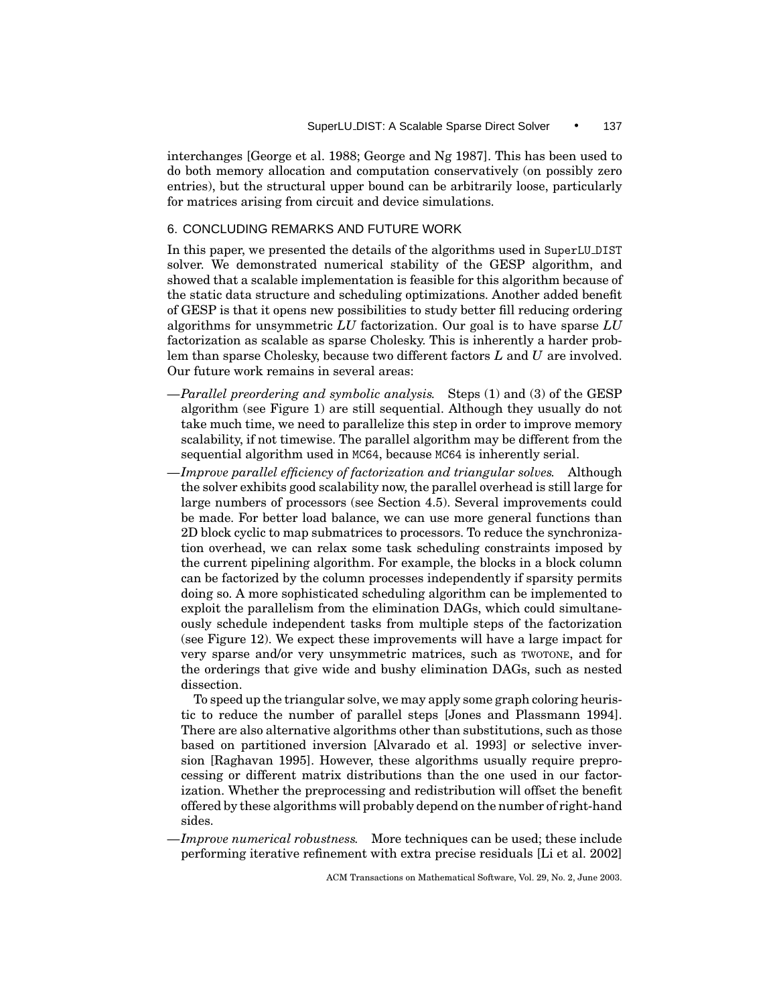interchanges [George et al. 1988; George and Ng 1987]. This has been used to do both memory allocation and computation conservatively (on possibly zero entries), but the structural upper bound can be arbitrarily loose, particularly for matrices arising from circuit and device simulations.

# 6. CONCLUDING REMARKS AND FUTURE WORK

In this paper, we presented the details of the algorithms used in SuperLU DIST solver. We demonstrated numerical stability of the GESP algorithm, and showed that a scalable implementation is feasible for this algorithm because of the static data structure and scheduling optimizations. Another added benefit of GESP is that it opens new possibilities to study better fill reducing ordering algorithms for unsymmetric *LU* factorization. Our goal is to have sparse *LU* factorization as scalable as sparse Cholesky. This is inherently a harder problem than sparse Cholesky, because two different factors *L* and *U* are involved. Our future work remains in several areas:

- —*Parallel preordering and symbolic analysis.* Steps (1) and (3) of the GESP algorithm (see Figure 1) are still sequential. Although they usually do not take much time, we need to parallelize this step in order to improve memory scalability, if not timewise. The parallel algorithm may be different from the sequential algorithm used in MC64, because MC64 is inherently serial.
- —*Improve parallel efficiency of factorization and triangular solves.* Although the solver exhibits good scalability now, the parallel overhead is still large for large numbers of processors (see Section 4.5). Several improvements could be made. For better load balance, we can use more general functions than 2D block cyclic to map submatrices to processors. To reduce the synchronization overhead, we can relax some task scheduling constraints imposed by the current pipelining algorithm. For example, the blocks in a block column can be factorized by the column processes independently if sparsity permits doing so. A more sophisticated scheduling algorithm can be implemented to exploit the parallelism from the elimination DAGs, which could simultaneously schedule independent tasks from multiple steps of the factorization (see Figure 12). We expect these improvements will have a large impact for very sparse and/or very unsymmetric matrices, such as TWOTONE, and for the orderings that give wide and bushy elimination DAGs, such as nested dissection.

To speed up the triangular solve, we may apply some graph coloring heuristic to reduce the number of parallel steps [Jones and Plassmann 1994]. There are also alternative algorithms other than substitutions, such as those based on partitioned inversion [Alvarado et al. 1993] or selective inversion [Raghavan 1995]. However, these algorithms usually require preprocessing or different matrix distributions than the one used in our factorization. Whether the preprocessing and redistribution will offset the benefit offered by these algorithms will probably depend on the number of right-hand sides.

—*Improve numerical robustness.* More techniques can be used; these include performing iterative refinement with extra precise residuals [Li et al. 2002]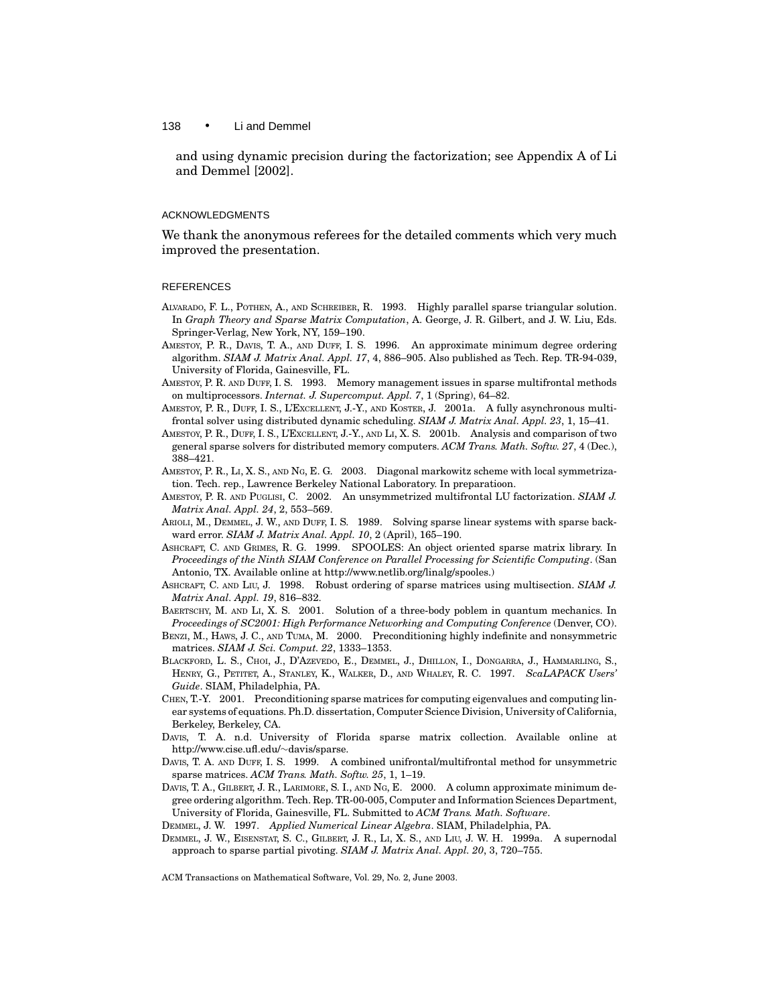and using dynamic precision during the factorization; see Appendix A of Li and Demmel [2002].

# ACKNOWLEDGMENTS

We thank the anonymous referees for the detailed comments which very much improved the presentation.

# REFERENCES

- ALVARADO, F. L., POTHEN, A., AND SCHREIBER, R. 1993. Highly parallel sparse triangular solution. In *Graph Theory and Sparse Matrix Computation*, A. George, J. R. Gilbert, and J. W. Liu, Eds. Springer-Verlag, New York, NY, 159–190.
- AMESTOY, P. R., DAVIS, T. A., AND DUFF, I. S. 1996. An approximate minimum degree ordering algorithm. *SIAM J. Matrix Anal. Appl. 17*, 4, 886–905. Also published as Tech. Rep. TR-94-039, University of Florida, Gainesville, FL.
- AMESTOY, P. R. AND DUFF, I. S. 1993. Memory management issues in sparse multifrontal methods on multiprocessors. *Internat. J. Supercomput. Appl. 7*, 1 (Spring), 64–82.
- AMESTOY, P. R., DUFF, I. S., L'EXCELLENT, J.-Y., AND KOSTER, J. 2001a. A fully asynchronous multifrontal solver using distributed dynamic scheduling. *SIAM J. Matrix Anal. Appl. 23*, 1, 15–41.
- AMESTOY, P. R., DUFF, I. S., L'EXCELLENT, J.-Y., AND LI, X. S. 2001b. Analysis and comparison of two general sparse solvers for distributed memory computers. *ACM Trans. Math. Softw. 27*, 4 (Dec.), 388–421.
- AMESTOY, P. R., LI, X. S., AND NG, E. G. 2003. Diagonal markowitz scheme with local symmetrization. Tech. rep., Lawrence Berkeley National Laboratory. In preparatioon.
- AMESTOY, P. R. AND PUGLISI, C. 2002. An unsymmetrized multifrontal LU factorization. *SIAM J. Matrix Anal. Appl. 24*, 2, 553–569.
- ARIOLI, M., DEMMEL, J. W., AND DUFF, I. S. 1989. Solving sparse linear systems with sparse backward error. *SIAM J. Matrix Anal. Appl. 10*, 2 (April), 165–190.
- ASHCRAFT, C. AND GRIMES, R. G. 1999. SPOOLES: An object oriented sparse matrix library. In *Proceedings of the Ninth SIAM Conference on Parallel Processing for Scientific Computing*. (San Antonio, TX. Available online at http://www.netlib.org/linalg/spooles.)
- ASHCRAFT, C. AND LIU, J. 1998. Robust ordering of sparse matrices using multisection. *SIAM J. Matrix Anal. Appl. 19*, 816–832.
- BAERTSCHY, M. AND LI, X. S. 2001. Solution of a three-body poblem in quantum mechanics. In *Proceedings of SC2001: High Performance Networking and Computing Conference* (Denver, CO).
- BENZI, M., HAWS, J. C., AND TUMA, M. 2000. Preconditioning highly indefinite and nonsymmetric matrices. *SIAM J. Sci. Comput. 22*, 1333–1353.
- BLACKFORD, L. S., CHOI, J., D'AZEVEDO, E., DEMMEL, J., DHILLON, I., DONGARRA, J., HAMMARLING, S., HENRY, G., PETITET, A., STANLEY, K., WALKER, D., AND WHALEY, R. C. 1997. *ScaLAPACK Users' Guide*. SIAM, Philadelphia, PA.
- CHEN, T.-Y. 2001. Preconditioning sparse matrices for computing eigenvalues and computing linear systems of equations. Ph.D. dissertation, Computer Science Division, University of California, Berkeley, Berkeley, CA.
- DAVIS, T. A. n.d. University of Florida sparse matrix collection. Available online at http://www.cise.ufl.edu/∼davis/sparse.
- DAVIS, T. A. AND DUFF, I. S. 1999. A combined unifrontal/multifrontal method for unsymmetric sparse matrices. *ACM Trans. Math. Softw. 25*, 1, 1–19.
- DAVIS, T. A., GILBERT, J. R., LARIMORE, S. I., AND NG, E. 2000. A column approximate minimum degree ordering algorithm. Tech. Rep. TR-00-005, Computer and Information Sciences Department, University of Florida, Gainesville, FL. Submitted to *ACM Trans. Math. Software*.
- DEMMEL, J. W. 1997. *Applied Numerical Linear Algebra*. SIAM, Philadelphia, PA.
- DEMMEL, J. W., EISENSTAT, S. C., GILBERT, J. R., LI, X. S., AND LIU, J. W. H. 1999a. A supernodal approach to sparse partial pivoting. *SIAM J. Matrix Anal. Appl. 20*, 3, 720–755.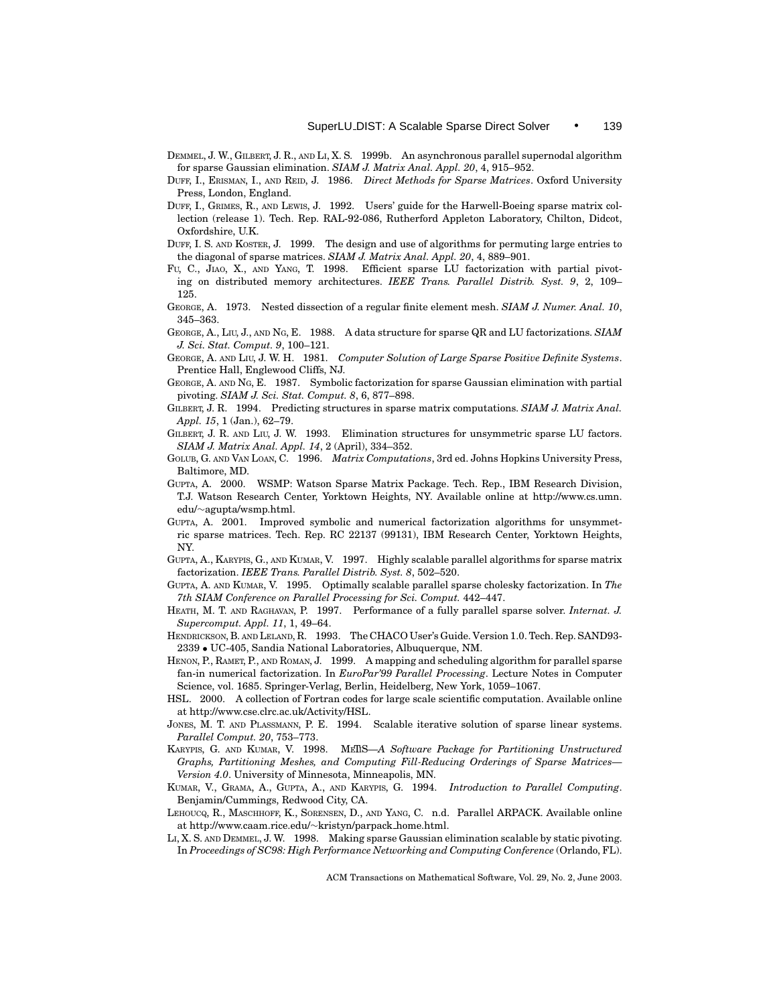- DEMMEL, J. W., GILBERT, J. R., AND LI, X. S. 1999b. An asynchronous parallel supernodal algorithm for sparse Gaussian elimination. *SIAM J. Matrix Anal. Appl. 20*, 4, 915–952.
- DUFF, I., ERISMAN, I., AND REID, J. 1986. *Direct Methods for Sparse Matrices*. Oxford University Press, London, England.
- DUFF, I., GRIMES, R., AND LEWIS, J. 1992. Users' guide for the Harwell-Boeing sparse matrix collection (release 1). Tech. Rep. RAL-92-086, Rutherford Appleton Laboratory, Chilton, Didcot, Oxfordshire, U.K.
- DUFF, I. S. AND KOSTER, J. 1999. The design and use of algorithms for permuting large entries to the diagonal of sparse matrices. *SIAM J. Matrix Anal. Appl. 20*, 4, 889–901.
- FU, C., JIAO, X., AND YANG, T. 1998. Efficient sparse LU factorization with partial pivoting on distributed memory architectures. *IEEE Trans. Parallel Distrib. Syst. 9*, 2, 109– 125.
- GEORGE, A. 1973. Nested dissection of a regular finite element mesh. *SIAM J. Numer. Anal. 10*, 345–363.
- GEORGE, A., LIU, J., AND NG, E. 1988. A data structure for sparse QR and LU factorizations. *SIAM J. Sci. Stat. Comput. 9*, 100–121.
- GEORGE, A. AND LIU, J. W. H. 1981. *Computer Solution of Large Sparse Positive Definite Systems*. Prentice Hall, Englewood Cliffs, NJ.
- GEORGE, A. AND NG, E. 1987. Symbolic factorization for sparse Gaussian elimination with partial pivoting. *SIAM J. Sci. Stat. Comput. 8*, 6, 877–898.
- GILBERT, J. R. 1994. Predicting structures in sparse matrix computations. *SIAM J. Matrix Anal. Appl. 15*, 1 (Jan.), 62–79.
- GILBERT, J. R. AND LIU, J. W. 1993. Elimination structures for unsymmetric sparse LU factors. *SIAM J. Matrix Anal. Appl. 14*, 2 (April), 334–352.
- GOLUB, G. AND VAN LOAN, C. 1996. *Matrix Computations*, 3rd ed. Johns Hopkins University Press, Baltimore, MD.
- GUPTA, A. 2000. WSMP: Watson Sparse Matrix Package. Tech. Rep., IBM Research Division, T.J. Watson Research Center, Yorktown Heights, NY. Available online at http://www.cs.umn. edu/∼agupta/wsmp.html.
- GUPTA, A. 2001. Improved symbolic and numerical factorization algorithms for unsymmetric sparse matrices. Tech. Rep. RC 22137 (99131), IBM Research Center, Yorktown Heights, NY.
- GUPTA, A., KARYPIS, G., AND KUMAR, V. 1997. Highly scalable parallel algorithms for sparse matrix factorization. *IEEE Trans. Parallel Distrib. Syst. 8*, 502–520.
- GUPTA, A. AND KUMAR, V. 1995. Optimally scalable parallel sparse cholesky factorization. In *The 7th SIAM Conference on Parallel Processing for Sci. Comput.* 442–447.
- HEATH, M. T. AND RAGHAVAN, P. 1997. Performance of a fully parallel sparse solver. *Internat. J. Supercomput. Appl. 11*, 1, 49–64.
- HENDRICKSON, B. AND LELAND, R. 1993. The CHACO User's Guide. Version 1.0. Tech. Rep. SAND93- 2339 • UC-405, Sandia National Laboratories, Albuquerque, NM.
- HENON, P., RAMET, P., AND ROMAN, J. 1999. A mapping and scheduling algorithm for parallel sparse fan-in numerical factorization. In *EuroPar'99 Parallel Processing*. Lecture Notes in Computer Science, vol. 1685. Springer-Verlag, Berlin, Heidelberg, New York, 1059–1067.
- HSL. 2000. A collection of Fortran codes for large scale scientific computation. Available online at http://www.cse.clrc.ac.uk/Activity/HSL.
- JONES, M. T. AND PLASSMANN, P. E. 1994. Scalable iterative solution of sparse linear systems. *Parallel Comput. 20*, 753–773.
- KARYPIS, G. AND KUMAR, V. 1998. METIS*—A Software Package for Partitioning Unstructured Graphs, Partitioning Meshes, and Computing Fill-Reducing Orderings of Sparse Matrices— Version 4.0*. University of Minnesota, Minneapolis, MN.
- KUMAR, V., GRAMA, A., GUPTA, A., AND KARYPIS, G. 1994. *Introduction to Parallel Computing*. Benjamin/Cummings, Redwood City, CA.
- LEHOUCQ, R., MASCHHOFF, K., SORENSEN, D., AND YANG, C. n.d. Parallel ARPACK. Available online at http://www.caam.rice.edu/∼kristyn/parpack home.html.
- LI, X. S. AND DEMMEL, J. W. 1998. Making sparse Gaussian elimination scalable by static pivoting. In *Proceedings of SC98: High Performance Networking and Computing Conference* (Orlando, FL).